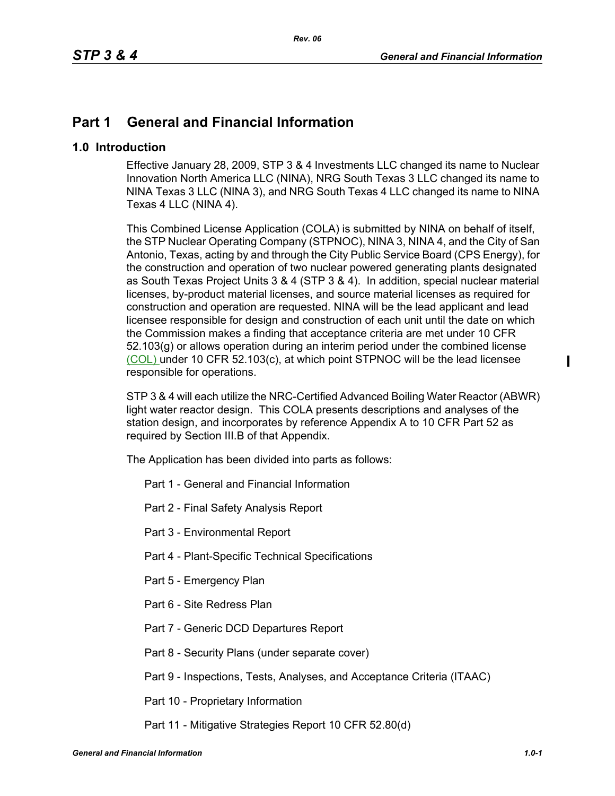# **Part 1 General and Financial Information**

## **1.0 Introduction**

Effective January 28, 2009, STP 3 & 4 Investments LLC changed its name to Nuclear Innovation North America LLC (NINA), NRG South Texas 3 LLC changed its name to NINA Texas 3 LLC (NINA 3), and NRG South Texas 4 LLC changed its name to NINA Texas 4 LLC (NINA 4).

This Combined License Application (COLA) is submitted by NINA on behalf of itself, the STP Nuclear Operating Company (STPNOC), NINA 3, NINA 4, and the City of San Antonio, Texas, acting by and through the City Public Service Board (CPS Energy), for the construction and operation of two nuclear powered generating plants designated as South Texas Project Units 3 & 4 (STP 3 & 4). In addition, special nuclear material licenses, by-product material licenses, and source material licenses as required for construction and operation are requested. NINA will be the lead applicant and lead licensee responsible for design and construction of each unit until the date on which the Commission makes a finding that acceptance criteria are met under 10 CFR 52.103(g) or allows operation during an interim period under the combined license (COL) under 10 CFR 52.103(c), at which point STPNOC will be the lead licensee responsible for operations.

STP 3 & 4 will each utilize the NRC-Certified Advanced Boiling Water Reactor (ABWR) light water reactor design. This COLA presents descriptions and analyses of the station design, and incorporates by reference Appendix A to 10 CFR Part 52 as required by Section III.B of that Appendix.

The Application has been divided into parts as follows:

- Part 1 General and Financial Information
- Part 2 Final Safety Analysis Report
- Part 3 Environmental Report
- Part 4 Plant-Specific Technical Specifications
- Part 5 Emergency Plan
- Part 6 Site Redress Plan
- Part 7 Generic DCD Departures Report
- Part 8 Security Plans (under separate cover)
- Part 9 Inspections, Tests, Analyses, and Acceptance Criteria (ITAAC)
- Part 10 Proprietary Information
- Part 11 Mitigative Strategies Report 10 CFR 52.80(d)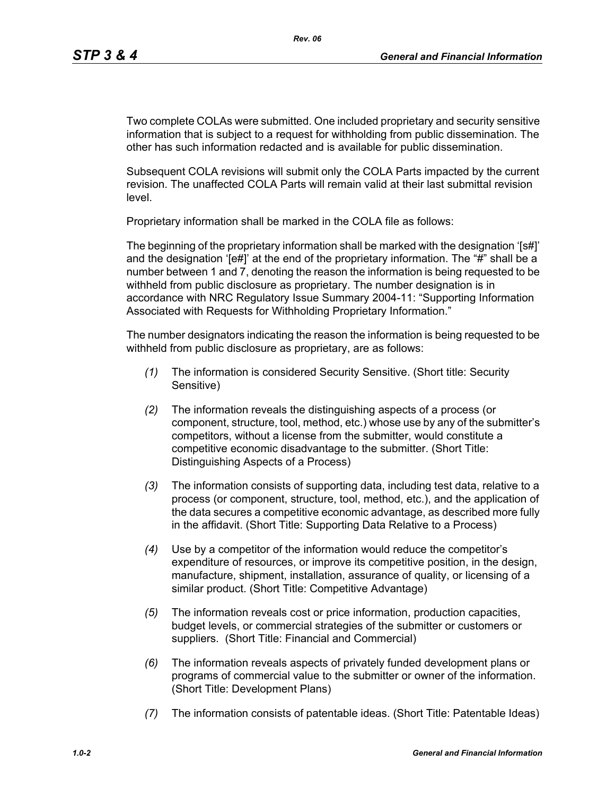Two complete COLAs were submitted. One included proprietary and security sensitive information that is subject to a request for withholding from public dissemination. The other has such information redacted and is available for public dissemination.

Subsequent COLA revisions will submit only the COLA Parts impacted by the current revision. The unaffected COLA Parts will remain valid at their last submittal revision level.

Proprietary information shall be marked in the COLA file as follows:

The beginning of the proprietary information shall be marked with the designation '[s#]' and the designation '[e#]' at the end of the proprietary information. The "#" shall be a number between 1 and 7, denoting the reason the information is being requested to be withheld from public disclosure as proprietary. The number designation is in accordance with NRC Regulatory Issue Summary 2004-11: "Supporting Information Associated with Requests for Withholding Proprietary Information."

The number designators indicating the reason the information is being requested to be withheld from public disclosure as proprietary, are as follows:

- *(1)* The information is considered Security Sensitive. (Short title: Security Sensitive)
- *(2)* The information reveals the distinguishing aspects of a process (or component, structure, tool, method, etc.) whose use by any of the submitter's competitors, without a license from the submitter, would constitute a competitive economic disadvantage to the submitter. (Short Title: Distinguishing Aspects of a Process)
- *(3)* The information consists of supporting data, including test data, relative to a process (or component, structure, tool, method, etc.), and the application of the data secures a competitive economic advantage, as described more fully in the affidavit. (Short Title: Supporting Data Relative to a Process)
- *(4)* Use by a competitor of the information would reduce the competitor's expenditure of resources, or improve its competitive position, in the design, manufacture, shipment, installation, assurance of quality, or licensing of a similar product. (Short Title: Competitive Advantage)
- *(5)* The information reveals cost or price information, production capacities, budget levels, or commercial strategies of the submitter or customers or suppliers. (Short Title: Financial and Commercial)
- *(6)* The information reveals aspects of privately funded development plans or programs of commercial value to the submitter or owner of the information. (Short Title: Development Plans)
- *(7)* The information consists of patentable ideas. (Short Title: Patentable Ideas)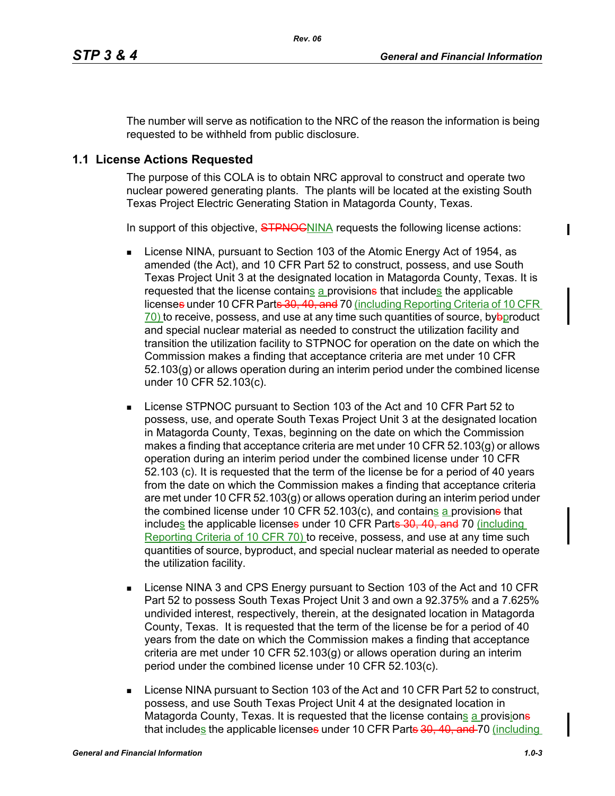The number will serve as notification to the NRC of the reason the information is being requested to be withheld from public disclosure.

## **1.1 License Actions Requested**

The purpose of this COLA is to obtain NRC approval to construct and operate two nuclear powered generating plants. The plants will be located at the existing South Texas Project Electric Generating Station in Matagorda County, Texas.

In support of this objective, **STPNOC**NINA requests the following license actions:

- **License NINA, pursuant to Section 103 of the Atomic Energy Act of 1954, as** amended (the Act), and 10 CFR Part 52 to construct, possess, and use South Texas Project Unit 3 at the designated location in Matagorda County, Texas. It is requested that the license contains a provisione that includes the applicable licenses under 10 CFR Parts 30, 40, and 70 (including Reporting Criteria of 10 CFR  $70$ ) to receive, possess, and use at any time such quantities of source, by $\Theta$  product and special nuclear material as needed to construct the utilization facility and transition the utilization facility to STPNOC for operation on the date on which the Commission makes a finding that acceptance criteria are met under 10 CFR 52.103(g) or allows operation during an interim period under the combined license under 10 CFR 52.103(c).
- **License STPNOC pursuant to Section 103 of the Act and 10 CFR Part 52 to** possess, use, and operate South Texas Project Unit 3 at the designated location in Matagorda County, Texas, beginning on the date on which the Commission makes a finding that acceptance criteria are met under 10 CFR  $52.103(q)$  or allows operation during an interim period under the combined license under 10 CFR 52.103 (c). It is requested that the term of the license be for a period of 40 years from the date on which the Commission makes a finding that acceptance criteria are met under 10 CFR 52.103(g) or allows operation during an interim period under the combined license under 10 CFR 52.103(c), and contains a provisions that includes the applicable licenses under 10 CFR Parts 30, 40, and 70 (including Reporting Criteria of 10 CFR 70) to receive, possess, and use at any time such quantities of source, byproduct, and special nuclear material as needed to operate the utilization facility.
- **EXECT:** License NINA 3 and CPS Energy pursuant to Section 103 of the Act and 10 CFR Part 52 to possess South Texas Project Unit 3 and own a 92.375% and a 7.625% undivided interest, respectively, therein, at the designated location in Matagorda County, Texas. It is requested that the term of the license be for a period of 40 years from the date on which the Commission makes a finding that acceptance criteria are met under 10 CFR 52.103(g) or allows operation during an interim period under the combined license under 10 CFR 52.103(c).
- License NINA pursuant to Section 103 of the Act and 10 CFR Part 52 to construct, possess, and use South Texas Project Unit 4 at the designated location in Matagorda County, Texas. It is requested that the license contains a provisione that includes the applicable licenses under 10 CFR Parts 30, 40, and 70 (including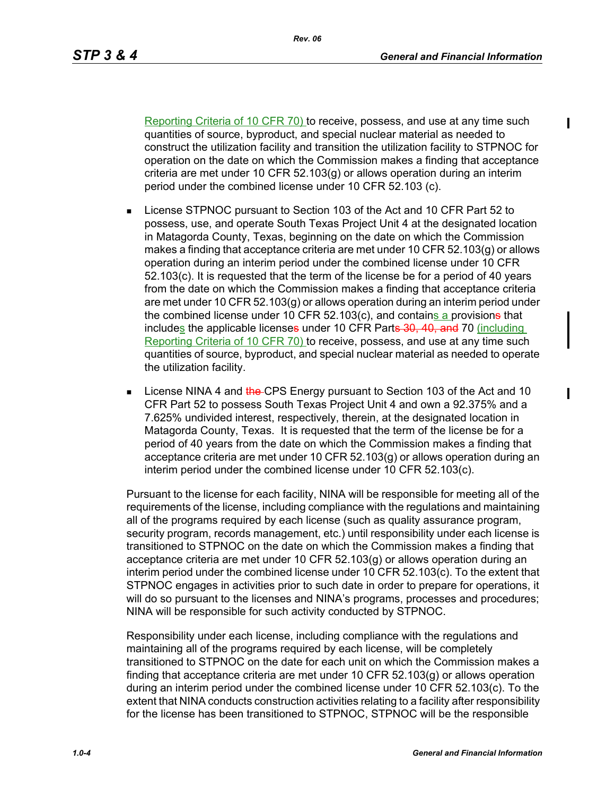Reporting Criteria of 10 CFR 70) to receive, possess, and use at any time such quantities of source, byproduct, and special nuclear material as needed to construct the utilization facility and transition the utilization facility to STPNOC for operation on the date on which the Commission makes a finding that acceptance criteria are met under 10 CFR 52.103(g) or allows operation during an interim period under the combined license under 10 CFR 52.103 (c).

- License STPNOC pursuant to Section 103 of the Act and 10 CFR Part 52 to possess, use, and operate South Texas Project Unit 4 at the designated location in Matagorda County, Texas, beginning on the date on which the Commission makes a finding that acceptance criteria are met under 10 CFR 52.103(g) or allows operation during an interim period under the combined license under 10 CFR 52.103(c). It is requested that the term of the license be for a period of 40 years from the date on which the Commission makes a finding that acceptance criteria are met under 10 CFR 52.103(g) or allows operation during an interim period under the combined license under 10 CFR 52.103 $(c)$ , and contains a provisions that includes the applicable licenses under 10 CFR Parts 30, 40, and 70 (including Reporting Criteria of 10 CFR 70) to receive, possess, and use at any time such quantities of source, byproduct, and special nuclear material as needed to operate the utilization facility.
- **License NINA 4 and the CPS Energy pursuant to Section 103 of the Act and 10** CFR Part 52 to possess South Texas Project Unit 4 and own a 92.375% and a 7.625% undivided interest, respectively, therein, at the designated location in Matagorda County, Texas. It is requested that the term of the license be for a period of 40 years from the date on which the Commission makes a finding that acceptance criteria are met under 10 CFR 52.103(g) or allows operation during an interim period under the combined license under 10 CFR 52.103(c).

Pursuant to the license for each facility, NINA will be responsible for meeting all of the requirements of the license, including compliance with the regulations and maintaining all of the programs required by each license (such as quality assurance program, security program, records management, etc.) until responsibility under each license is transitioned to STPNOC on the date on which the Commission makes a finding that acceptance criteria are met under 10 CFR 52.103(g) or allows operation during an interim period under the combined license under 10 CFR 52.103(c). To the extent that STPNOC engages in activities prior to such date in order to prepare for operations, it will do so pursuant to the licenses and NINA's programs, processes and procedures; NINA will be responsible for such activity conducted by STPNOC.

Responsibility under each license, including compliance with the regulations and maintaining all of the programs required by each license, will be completely transitioned to STPNOC on the date for each unit on which the Commission makes a finding that acceptance criteria are met under 10 CFR 52.103(g) or allows operation during an interim period under the combined license under 10 CFR 52.103(c). To the extent that NINA conducts construction activities relating to a facility after responsibility for the license has been transitioned to STPNOC, STPNOC will be the responsible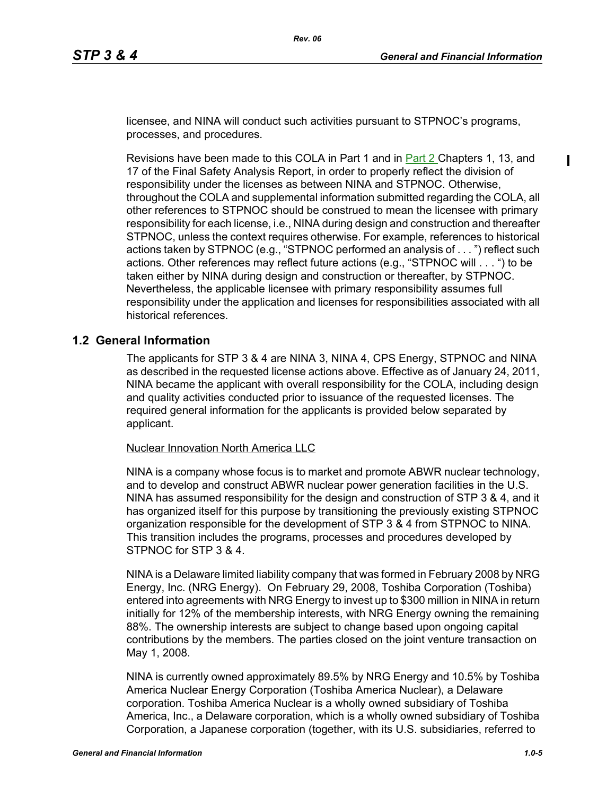$\mathbf I$ 

licensee, and NINA will conduct such activities pursuant to STPNOC's programs, processes, and procedures.

Revisions have been made to this COLA in Part 1 and in Part 2 Chapters 1, 13, and 17 of the Final Safety Analysis Report, in order to properly reflect the division of responsibility under the licenses as between NINA and STPNOC. Otherwise, throughout the COLA and supplemental information submitted regarding the COLA, all other references to STPNOC should be construed to mean the licensee with primary responsibility for each license, i.e., NINA during design and construction and thereafter STPNOC, unless the context requires otherwise. For example, references to historical actions taken by STPNOC (e.g., "STPNOC performed an analysis of . . . ") reflect such actions. Other references may reflect future actions (e.g., "STPNOC will . . . ") to be taken either by NINA during design and construction or thereafter, by STPNOC. Nevertheless, the applicable licensee with primary responsibility assumes full responsibility under the application and licenses for responsibilities associated with all historical references.

#### **1.2 General Information**

The applicants for STP 3 & 4 are NINA 3, NINA 4, CPS Energy, STPNOC and NINA as described in the requested license actions above. Effective as of January 24, 2011, NINA became the applicant with overall responsibility for the COLA, including design and quality activities conducted prior to issuance of the requested licenses. The required general information for the applicants is provided below separated by applicant.

Nuclear Innovation North America LLC

NINA is a company whose focus is to market and promote ABWR nuclear technology, and to develop and construct ABWR nuclear power generation facilities in the U.S. NINA has assumed responsibility for the design and construction of STP 3 & 4, and it has organized itself for this purpose by transitioning the previously existing STPNOC organization responsible for the development of STP 3 & 4 from STPNOC to NINA. This transition includes the programs, processes and procedures developed by STPNOC for STP 3 & 4.

NINA is a Delaware limited liability company that was formed in February 2008 by NRG Energy, Inc. (NRG Energy). On February 29, 2008, Toshiba Corporation (Toshiba) entered into agreements with NRG Energy to invest up to \$300 million in NINA in return initially for 12% of the membership interests, with NRG Energy owning the remaining 88%. The ownership interests are subject to change based upon ongoing capital contributions by the members. The parties closed on the joint venture transaction on May 1, 2008.

NINA is currently owned approximately 89.5% by NRG Energy and 10.5% by Toshiba America Nuclear Energy Corporation (Toshiba America Nuclear), a Delaware corporation. Toshiba America Nuclear is a wholly owned subsidiary of Toshiba America, Inc., a Delaware corporation, which is a wholly owned subsidiary of Toshiba Corporation, a Japanese corporation (together, with its U.S. subsidiaries, referred to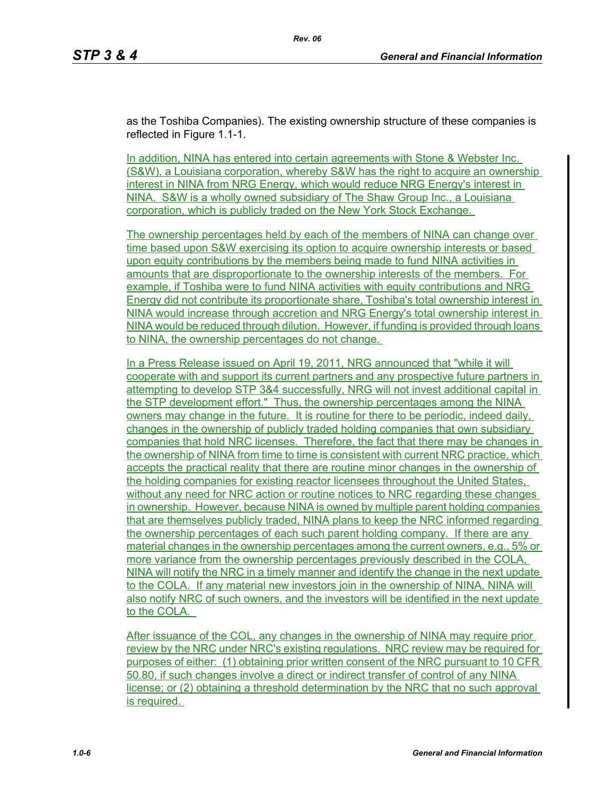as the Toshiba Companies). The existing ownership structure of these companies is reflected in Figure 1.1-1.

*Rev. 06*

In addition, NINA has entered into certain agreements with Stone & Webster Inc. (S&W), a Louisiana corporation, whereby S&W has the right to acquire an ownership interest in NINA from NRG Energy, which would reduce NRG Energy's interest in NINA. S&W is a wholly owned subsidiary of The Shaw Group Inc., a Louisiana corporation, which is publicly traded on the New York Stock Exchange.

The ownership percentages held by each of the members of NINA can change over time based upon S&W exercising its option to acquire ownership interests or based upon equity contributions by the members being made to fund NINA activities in amounts that are disproportionate to the ownership interests of the members. For example, if Toshiba were to fund NINA activities with equity contributions and NRG Energy did not contribute its proportionate share, Toshiba's total ownership interest in NINA would increase through accretion and NRG Energy's total ownership interest in NINA would be reduced through dilution. However, if funding is provided through loans to NINA, the ownership percentages do not change.

In a Press Release issued on April 19, 2011, NRG announced that "while it will cooperate with and support its current partners and any prospective future partners in attempting to develop STP 3&4 successfully, NRG will not invest additional capital in the STP development effort." Thus, the ownership percentages among the NINA owners may change in the future. It is routine for there to be periodic, indeed daily, changes in the ownership of publicly traded holding companies that own subsidiary companies that hold NRC licenses. Therefore, the fact that there may be changes in the ownership of NINA from time to time is consistent with current NRC practice, which accepts the practical reality that there are routine minor changes in the ownership of the holding companies for existing reactor licensees throughout the United States, without any need for NRC action or routine notices to NRC regarding these changes in ownership. However, because NINA is owned by multiple parent holding companies that are themselves publicly traded, NINA plans to keep the NRC informed regarding the ownership percentages of each such parent holding company. If there are any material changes in the ownership percentages among the current owners, e.g., 5% or more variance from the ownership percentages previously described in the COLA, NINA will notify the NRC in a timely manner and identify the change in the next update to the COLA. If any material new investors join in the ownership of NINA, NINA will also notify NRC of such owners, and the investors will be identified in the next update to the COLA.

After issuance of the COL, any changes in the ownership of NINA may require prior review by the NRC under NRC's existing regulations. NRC review may be required for purposes of either: (1) obtaining prior written consent of the NRC pursuant to 10 CFR 50.80, if such changes involve a direct or indirect transfer of control of any NINA license; or (2) obtaining a threshold determination by the NRC that no such approval is required.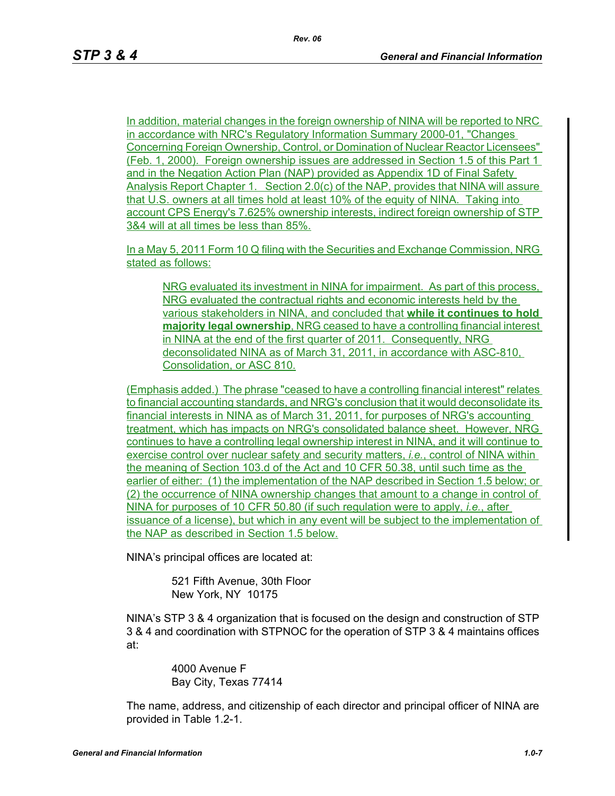In addition, material changes in the foreign ownership of NINA will be reported to NRC in accordance with NRC's Regulatory Information Summary 2000-01, "Changes Concerning Foreign Ownership, Control, or Domination of Nuclear Reactor Licensees" (Feb. 1, 2000). Foreign ownership issues are addressed in Section 1.5 of this Part 1 and in the Negation Action Plan (NAP) provided as Appendix 1D of Final Safety Analysis Report Chapter 1. Section 2.0(c) of the NAP, provides that NINA will assure that U.S. owners at all times hold at least 10% of the equity of NINA. Taking into account CPS Energy's 7.625% ownership interests, indirect foreign ownership of STP 3&4 will at all times be less than 85%.

In a May 5, 2011 Form 10 Q filing with the Securities and Exchange Commission, NRG stated as follows:

NRG evaluated its investment in NINA for impairment. As part of this process, NRG evaluated the contractual rights and economic interests held by the various stakeholders in NINA, and concluded that **while it continues to hold majority legal ownership**, NRG ceased to have a controlling financial interest in NINA at the end of the first quarter of 2011. Consequently, NRG deconsolidated NINA as of March 31, 2011, in accordance with ASC-810, Consolidation, or ASC 810.

(Emphasis added.) The phrase "ceased to have a controlling financial interest" relates to financial accounting standards, and NRG's conclusion that it would deconsolidate its financial interests in NINA as of March 31, 2011, for purposes of NRG's accounting treatment, which has impacts on NRG's consolidated balance sheet. However, NRG continues to have a controlling legal ownership interest in NINA, and it will continue to exercise control over nuclear safety and security matters, *i.e.*, control of NINA within the meaning of Section 103.d of the Act and 10 CFR 50.38, until such time as the earlier of either: (1) the implementation of the NAP described in Section 1.5 below; or (2) the occurrence of NINA ownership changes that amount to a change in control of NINA for purposes of 10 CFR 50.80 (if such regulation were to apply, *i.e.*, after issuance of a license), but which in any event will be subject to the implementation of the NAP as described in Section 1.5 below.

NINA's principal offices are located at:

521 Fifth Avenue, 30th Floor New York, NY 10175

NINA's STP 3 & 4 organization that is focused on the design and construction of STP 3 & 4 and coordination with STPNOC for the operation of STP 3 & 4 maintains offices at:

> 4000 Avenue F Bay City, Texas 77414

The name, address, and citizenship of each director and principal officer of NINA are provided in Table 1.2-1.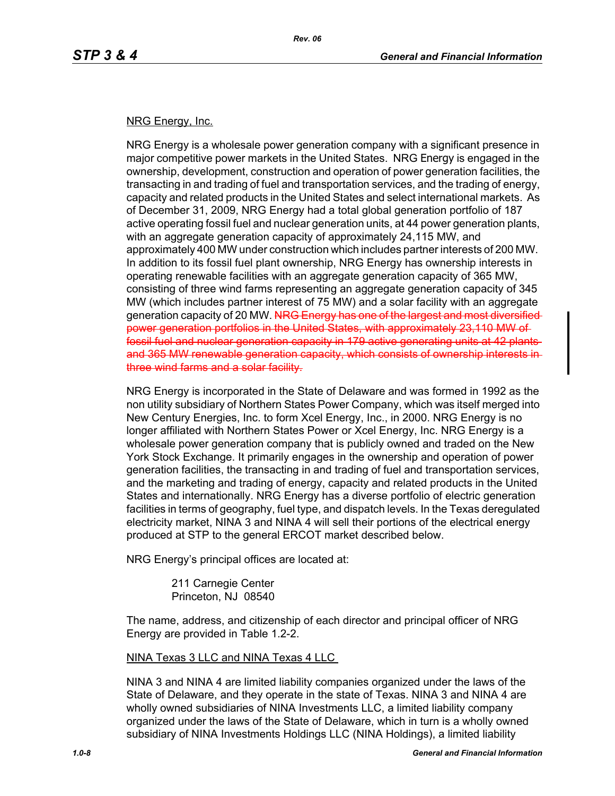#### NRG Energy, Inc.

NRG Energy is a wholesale power generation company with a significant presence in major competitive power markets in the United States. NRG Energy is engaged in the ownership, development, construction and operation of power generation facilities, the transacting in and trading of fuel and transportation services, and the trading of energy, capacity and related products in the United States and select international markets. As of December 31, 2009, NRG Energy had a total global generation portfolio of 187 active operating fossil fuel and nuclear generation units, at 44 power generation plants, with an aggregate generation capacity of approximately 24,115 MW, and approximately 400 MW under construction which includes partner interests of 200 MW. In addition to its fossil fuel plant ownership, NRG Energy has ownership interests in operating renewable facilities with an aggregate generation capacity of 365 MW, consisting of three wind farms representing an aggregate generation capacity of 345 MW (which includes partner interest of 75 MW) and a solar facility with an aggregate generation capacity of 20 MW. NRG Energy has one of the largest and most diversified power generation portfolios in the United States, with approximately 23,110 MW of fossil fuel and nuclear generation capacity in 179 active generating units at 42 plants and 365 MW renewable generation capacity, which consists of ownership interests in three wind farms and a solar facility.

NRG Energy is incorporated in the State of Delaware and was formed in 1992 as the non utility subsidiary of Northern States Power Company, which was itself merged into New Century Energies, Inc. to form Xcel Energy, Inc., in 2000. NRG Energy is no longer affiliated with Northern States Power or Xcel Energy, Inc. NRG Energy is a wholesale power generation company that is publicly owned and traded on the New York Stock Exchange. It primarily engages in the ownership and operation of power generation facilities, the transacting in and trading of fuel and transportation services, and the marketing and trading of energy, capacity and related products in the United States and internationally. NRG Energy has a diverse portfolio of electric generation facilities in terms of geography, fuel type, and dispatch levels. In the Texas deregulated electricity market, NINA 3 and NINA 4 will sell their portions of the electrical energy produced at STP to the general ERCOT market described below.

NRG Energy's principal offices are located at:

211 Carnegie Center Princeton, NJ 08540

The name, address, and citizenship of each director and principal officer of NRG Energy are provided in Table 1.2-2.

NINA Texas 3 LLC and NINA Texas 4 LLC

NINA 3 and NINA 4 are limited liability companies organized under the laws of the State of Delaware, and they operate in the state of Texas. NINA 3 and NINA 4 are wholly owned subsidiaries of NINA Investments LLC, a limited liability company organized under the laws of the State of Delaware, which in turn is a wholly owned subsidiary of NINA Investments Holdings LLC (NINA Holdings), a limited liability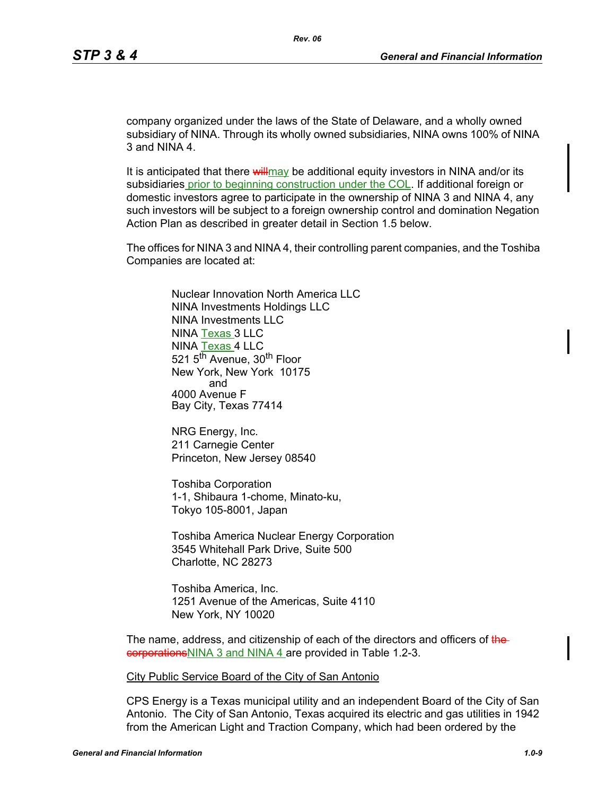company organized under the laws of the State of Delaware, and a wholly owned subsidiary of NINA. Through its wholly owned subsidiaries, NINA owns 100% of NINA 3 and NINA 4.

It is anticipated that there will may be additional equity investors in NINA and/or its subsidiaries prior to beginning construction under the COL. If additional foreign or domestic investors agree to participate in the ownership of NINA 3 and NINA 4, any such investors will be subject to a foreign ownership control and domination Negation Action Plan as described in greater detail in Section 1.5 below.

The offices for NINA 3 and NINA 4, their controlling parent companies, and the Toshiba Companies are located at:

> Nuclear Innovation North America LLC NINA Investments Holdings LLC NINA Investments LLC NINA Texas 3 LLC NINA Texas 4 LLC 521 5<sup>th</sup> Avenue, 30<sup>th</sup> Floor New York, New York 10175 and 4000 Avenue F Bay City, Texas 77414

NRG Energy, Inc. 211 Carnegie Center Princeton, New Jersey 08540

Toshiba Corporation 1-1, Shibaura 1-chome, Minato-ku, Tokyo 105-8001, Japan

Toshiba America Nuclear Energy Corporation 3545 Whitehall Park Drive, Suite 500 Charlotte, NC 28273

Toshiba America, Inc. 1251 Avenue of the Americas, Suite 4110 New York, NY 10020

The name, address, and citizenship of each of the directors and officers of thecorporationsNINA 3 and NINA 4 are provided in Table 1.2-3.

City Public Service Board of the City of San Antonio

CPS Energy is a Texas municipal utility and an independent Board of the City of San Antonio. The City of San Antonio, Texas acquired its electric and gas utilities in 1942 from the American Light and Traction Company, which had been ordered by the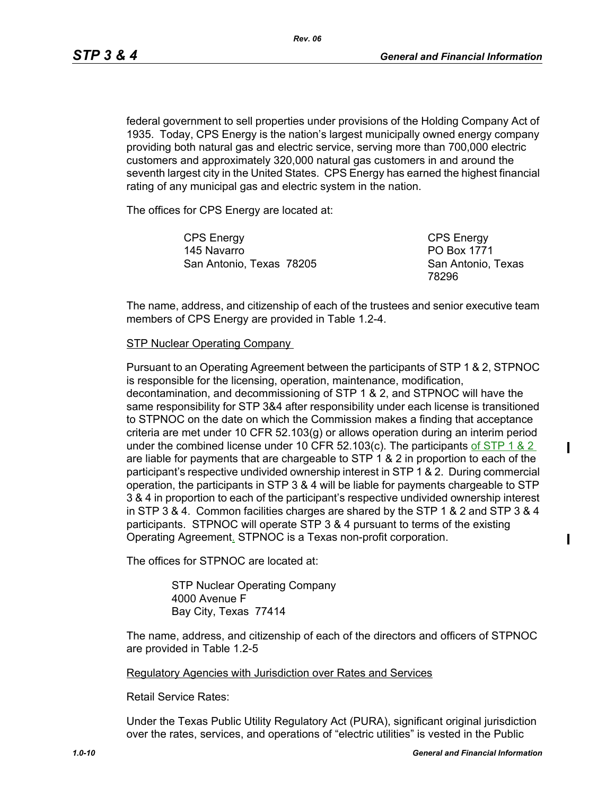federal government to sell properties under provisions of the Holding Company Act of 1935. Today, CPS Energy is the nation's largest municipally owned energy company providing both natural gas and electric service, serving more than 700,000 electric customers and approximately 320,000 natural gas customers in and around the seventh largest city in the United States. CPS Energy has earned the highest financial rating of any municipal gas and electric system in the nation.

The offices for CPS Energy are located at:

CPS Energy 145 Navarro San Antonio, Texas 78205 CPS Energy PO Box 1771 San Antonio, Texas 78296

 $\blacksquare$ 

 $\mathbf I$ 

The name, address, and citizenship of each of the trustees and senior executive team members of CPS Energy are provided in Table 1.2-4.

#### **STP Nuclear Operating Company**

Pursuant to an Operating Agreement between the participants of STP 1 & 2, STPNOC is responsible for the licensing, operation, maintenance, modification, decontamination, and decommissioning of STP 1 & 2, and STPNOC will have the same responsibility for STP 3&4 after responsibility under each license is transitioned to STPNOC on the date on which the Commission makes a finding that acceptance criteria are met under 10 CFR 52.103(g) or allows operation during an interim period under the combined license under 10 CFR 52.103(c). The participants of  $STP$  1 & 2 are liable for payments that are chargeable to STP 1 & 2 in proportion to each of the participant's respective undivided ownership interest in STP 1 & 2. During commercial operation, the participants in STP 3 & 4 will be liable for payments chargeable to STP 3 & 4 in proportion to each of the participant's respective undivided ownership interest in STP 3 & 4. Common facilities charges are shared by the STP 1 & 2 and STP 3 & 4 participants. STPNOC will operate STP 3 & 4 pursuant to terms of the existing Operating Agreement. STPNOC is a Texas non-profit corporation.

The offices for STPNOC are located at:

STP Nuclear Operating Company 4000 Avenue F Bay City, Texas 77414

The name, address, and citizenship of each of the directors and officers of STPNOC are provided in Table 1.2-5

#### Regulatory Agencies with Jurisdiction over Rates and Services

Retail Service Rates:

Under the Texas Public Utility Regulatory Act (PURA), significant original jurisdiction over the rates, services, and operations of "electric utilities" is vested in the Public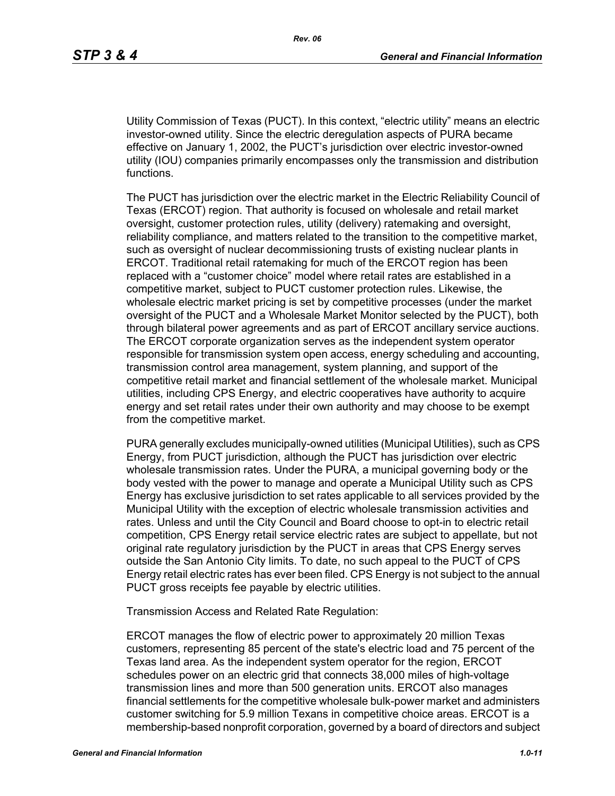Utility Commission of Texas (PUCT). In this context, "electric utility" means an electric investor-owned utility. Since the electric deregulation aspects of PURA became effective on January 1, 2002, the PUCT's jurisdiction over electric investor-owned utility (IOU) companies primarily encompasses only the transmission and distribution functions.

The PUCT has jurisdiction over the electric market in the Electric Reliability Council of Texas (ERCOT) region. That authority is focused on wholesale and retail market oversight, customer protection rules, utility (delivery) ratemaking and oversight, reliability compliance, and matters related to the transition to the competitive market, such as oversight of nuclear decommissioning trusts of existing nuclear plants in ERCOT. Traditional retail ratemaking for much of the ERCOT region has been replaced with a "customer choice" model where retail rates are established in a competitive market, subject to PUCT customer protection rules. Likewise, the wholesale electric market pricing is set by competitive processes (under the market oversight of the PUCT and a Wholesale Market Monitor selected by the PUCT), both through bilateral power agreements and as part of ERCOT ancillary service auctions. The ERCOT corporate organization serves as the independent system operator responsible for transmission system open access, energy scheduling and accounting, transmission control area management, system planning, and support of the competitive retail market and financial settlement of the wholesale market. Municipal utilities, including CPS Energy, and electric cooperatives have authority to acquire energy and set retail rates under their own authority and may choose to be exempt from the competitive market.

PURA generally excludes municipally-owned utilities (Municipal Utilities), such as CPS Energy, from PUCT jurisdiction, although the PUCT has jurisdiction over electric wholesale transmission rates. Under the PURA, a municipal governing body or the body vested with the power to manage and operate a Municipal Utility such as CPS Energy has exclusive jurisdiction to set rates applicable to all services provided by the Municipal Utility with the exception of electric wholesale transmission activities and rates. Unless and until the City Council and Board choose to opt-in to electric retail competition, CPS Energy retail service electric rates are subject to appellate, but not original rate regulatory jurisdiction by the PUCT in areas that CPS Energy serves outside the San Antonio City limits. To date, no such appeal to the PUCT of CPS Energy retail electric rates has ever been filed. CPS Energy is not subject to the annual PUCT gross receipts fee payable by electric utilities.

Transmission Access and Related Rate Regulation:

ERCOT manages the flow of electric power to approximately 20 million Texas customers, representing 85 percent of the state's electric load and 75 percent of the Texas land area. As the independent system operator for the region, ERCOT schedules power on an electric grid that connects 38,000 miles of high-voltage transmission lines and more than 500 generation units. ERCOT also manages financial settlements for the competitive wholesale bulk-power market and administers customer switching for 5.9 million Texans in competitive choice areas. ERCOT is a membership-based nonprofit corporation, governed by a board of directors and subject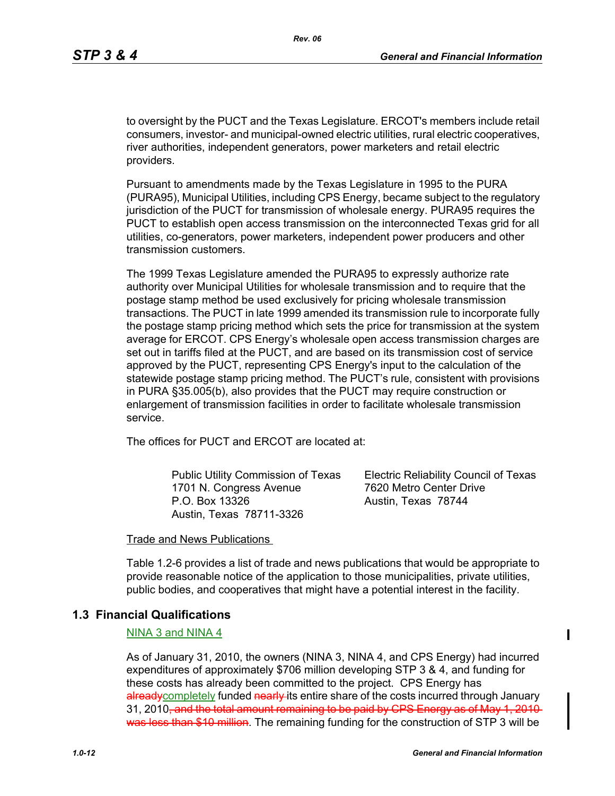to oversight by the PUCT and the Texas Legislature. ERCOT's members include retail consumers, investor- and municipal-owned electric utilities, rural electric cooperatives, river authorities, independent generators, power marketers and retail electric providers.

Pursuant to amendments made by the Texas Legislature in 1995 to the PURA (PURA95), Municipal Utilities, including CPS Energy, became subject to the regulatory jurisdiction of the PUCT for transmission of wholesale energy. PURA95 requires the PUCT to establish open access transmission on the interconnected Texas grid for all utilities, co-generators, power marketers, independent power producers and other transmission customers.

The 1999 Texas Legislature amended the PURA95 to expressly authorize rate authority over Municipal Utilities for wholesale transmission and to require that the postage stamp method be used exclusively for pricing wholesale transmission transactions. The PUCT in late 1999 amended its transmission rule to incorporate fully the postage stamp pricing method which sets the price for transmission at the system average for ERCOT. CPS Energy's wholesale open access transmission charges are set out in tariffs filed at the PUCT, and are based on its transmission cost of service approved by the PUCT, representing CPS Energy's input to the calculation of the statewide postage stamp pricing method. The PUCT's rule, consistent with provisions in PURA §35.005(b), also provides that the PUCT may require construction or enlargement of transmission facilities in order to facilitate wholesale transmission service.

The offices for PUCT and ERCOT are located at:

Public Utility Commission of Texas 1701 N. Congress Avenue P.O. Box 13326 Austin, Texas 78711-3326

Electric Reliability Council of Texas 7620 Metro Center Drive Austin, Texas 78744

#### Trade and News Publications

Table 1.2-6 provides a list of trade and news publications that would be appropriate to provide reasonable notice of the application to those municipalities, private utilities, public bodies, and cooperatives that might have a potential interest in the facility.

#### **1.3 Financial Qualifications**

#### NINA 3 and NINA 4

As of January 31, 2010, the owners (NINA 3, NINA 4, and CPS Energy) had incurred expenditures of approximately \$706 million developing STP 3 & 4, and funding for these costs has already been committed to the project. CPS Energy has alreadycompletely funded nearly its entire share of the costs incurred through January 31, 2010<del>, and the total amount remaining to be paid by CPS Energy as of May 1, 2010</del> was less than \$10 million. The remaining funding for the construction of STP 3 will be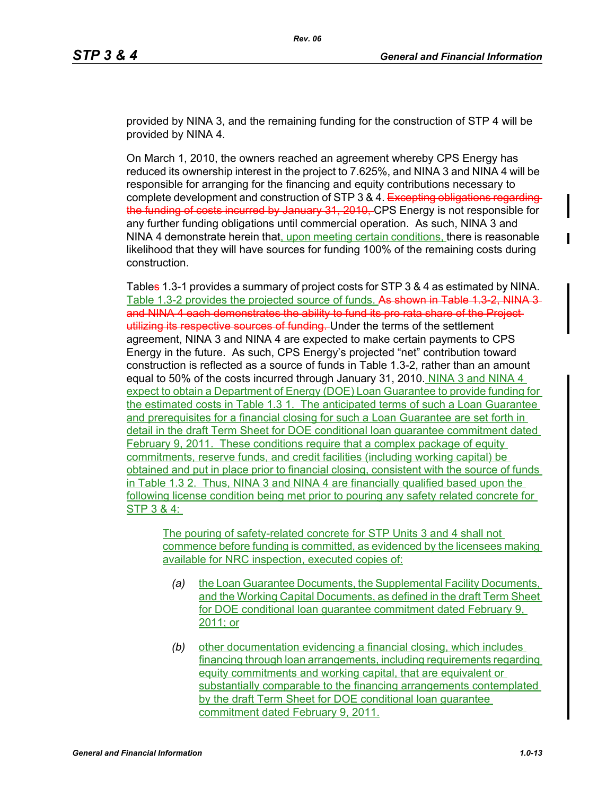provided by NINA 3, and the remaining funding for the construction of STP 4 will be provided by NINA 4.

On March 1, 2010, the owners reached an agreement whereby CPS Energy has reduced its ownership interest in the project to 7.625%, and NINA 3 and NINA 4 will be responsible for arranging for the financing and equity contributions necessary to complete development and construction of STP 3 & 4. Excepting obligations regard the funding of costs incurred by January 31, 2010, CPS Energy is not responsible for any further funding obligations until commercial operation. As such, NINA 3 and NINA 4 demonstrate herein that, upon meeting certain conditions, there is reasonable likelihood that they will have sources for funding 100% of the remaining costs during construction.

Tables 1.3-1 provides a summary of project costs for STP 3 & 4 as estimated by NINA. Table 1.3-2 provides the projected source of funds. As shown in Table 1.3-2, NINA 3and NINA 4 each demonstrates the ability to fund its pro rata share of the Projectutilizing its respective sources of funding. Under the terms of the settlement agreement, NINA 3 and NINA 4 are expected to make certain payments to CPS Energy in the future. As such, CPS Energy's projected "net" contribution toward construction is reflected as a source of funds in Table 1.3-2, rather than an amount equal to 50% of the costs incurred through January 31, 2010. NINA 3 and NINA 4 expect to obtain a Department of Energy (DOE) Loan Guarantee to provide funding for the estimated costs in Table 1.3 1. The anticipated terms of such a Loan Guarantee and prerequisites for a financial closing for such a Loan Guarantee are set forth in detail in the draft Term Sheet for DOE conditional loan guarantee commitment dated February 9, 2011. These conditions require that a complex package of equity commitments, reserve funds, and credit facilities (including working capital) be obtained and put in place prior to financial closing, consistent with the source of funds in Table 1.3 2. Thus, NINA 3 and NINA 4 are financially qualified based upon the following license condition being met prior to pouring any safety related concrete for STP 3 & 4:

The pouring of safety-related concrete for STP Units 3 and 4 shall not commence before funding is committed, as evidenced by the licensees making available for NRC inspection, executed copies of:

- *(a)* the Loan Guarantee Documents, the Supplemental Facility Documents, and the Working Capital Documents, as defined in the draft Term Sheet for DOE conditional loan guarantee commitment dated February 9, 2011; or
- *(b)* other documentation evidencing a financial closing, which includes financing through loan arrangements, including requirements regarding equity commitments and working capital, that are equivalent or substantially comparable to the financing arrangements contemplated by the draft Term Sheet for DOE conditional loan guarantee commitment dated February 9, 2011.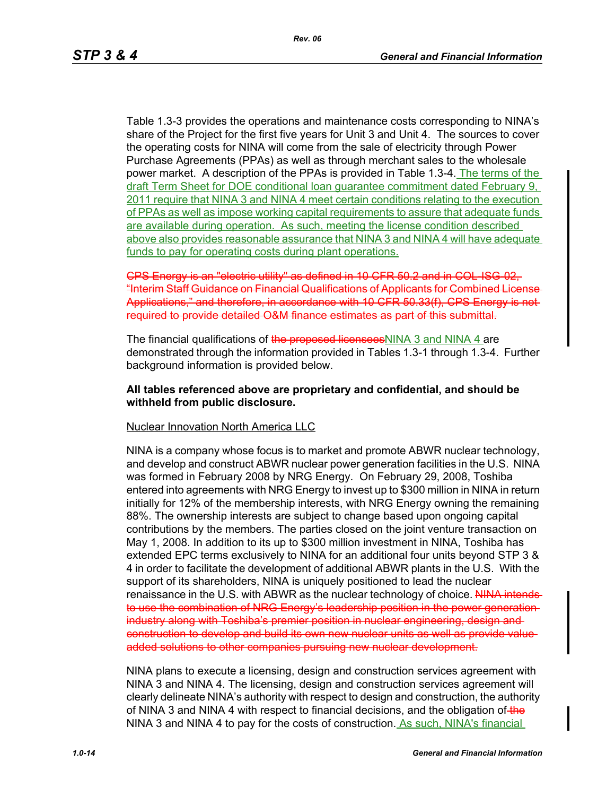Table 1.3-3 provides the operations and maintenance costs corresponding to NINA's share of the Project for the first five years for Unit 3 and Unit 4. The sources to cover the operating costs for NINA will come from the sale of electricity through Power Purchase Agreements (PPAs) as well as through merchant sales to the wholesale power market. A description of the PPAs is provided in Table 1.3-4. The terms of the draft Term Sheet for DOE conditional loan guarantee commitment dated February 9, 2011 require that NINA 3 and NINA 4 meet certain conditions relating to the execution of PPAs as well as impose working capital requirements to assure that adequate funds are available during operation. As such, meeting the license condition described above also provides reasonable assurance that NINA 3 and NINA 4 will have adequate funds to pay for operating costs during plant operations.

CPS Energy is an "electric utility" as defined in 10 CFR 50.2 and in COL-ISG-02, "Interim Staff Guidance on Financial Qualifications of Applicants for Combined License Applications," and therefore, in accordance with 10 CFR 50.33(f), CPS Energy is not required to provide detailed O&M finance estimates as part of this submittal.

The financial qualifications of the proposed licensees NINA 3 and NINA 4 are demonstrated through the information provided in Tables 1.3-1 through 1.3-4. Further background information is provided below.

#### **All tables referenced above are proprietary and confidential, and should be withheld from public disclosure.**

#### Nuclear Innovation North America LLC

NINA is a company whose focus is to market and promote ABWR nuclear technology, and develop and construct ABWR nuclear power generation facilities in the U.S. NINA was formed in February 2008 by NRG Energy. On February 29, 2008, Toshiba entered into agreements with NRG Energy to invest up to \$300 million in NINA in return initially for 12% of the membership interests, with NRG Energy owning the remaining 88%. The ownership interests are subject to change based upon ongoing capital contributions by the members. The parties closed on the joint venture transaction on May 1, 2008. In addition to its up to \$300 million investment in NINA, Toshiba has extended EPC terms exclusively to NINA for an additional four units beyond STP 3 & 4 in order to facilitate the development of additional ABWR plants in the U.S. With the support of its shareholders, NINA is uniquely positioned to lead the nuclear renaissance in the U.S. with ABWR as the nuclear technology of choice. NINA intendsto use the combination of NRG Energy's leadership position in the power generation industry along with Toshiba's premier position in nuclear engineering, design and construction to develop and build its own new nuclear units as well as provide value added solutions to other companies pursuing new nuclear development.

NINA plans to execute a licensing, design and construction services agreement with NINA 3 and NINA 4. The licensing, design and construction services agreement will clearly delineate NINA's authority with respect to design and construction, the authority of NINA 3 and NINA 4 with respect to financial decisions, and the obligation of the NINA 3 and NINA 4 to pay for the costs of construction. As such, NINA's financial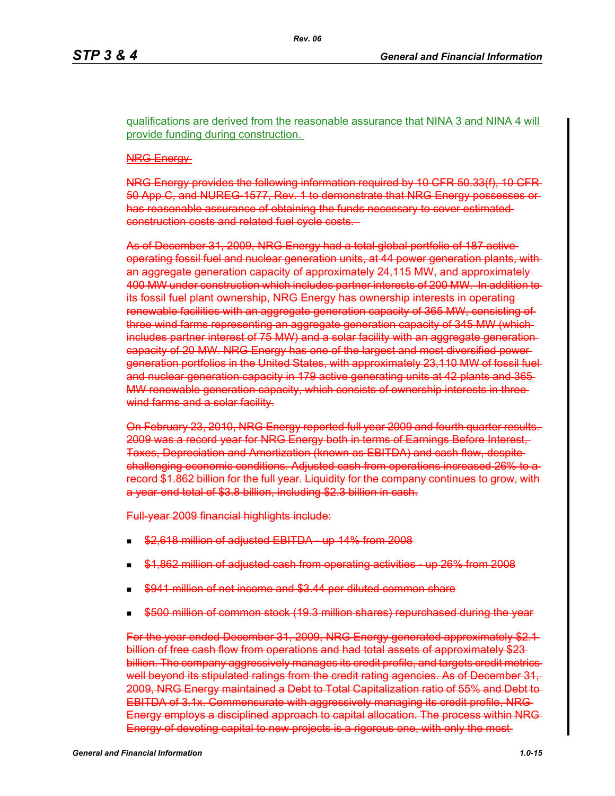qualifications are derived from the reasonable assurance that NINA 3 and NINA 4 will provide funding during construction.

#### NRG Energy

NRG Energy provides the following information required by 10 CFR 50.33(f), 10 CFR 50 App C, and NUREG-1577, Rev. 1 to demonstrate that NRG Energy possesses or has reasonable assurance of obtaining the funds necessary to cover estimated construction costs and related fuel cycle costs.

As of December 31, 2009, NRG Energy had a total global portfolio of 187 active operating fossil fuel and nuclear generation units, at 44 power generation plants, with an aggregate generation capacity of approximately 24,115 MW, and approximately 400 MW under construction which includes partner interests of 200 MW. In addition to its fossil fuel plant ownership, NRG Energy has ownership interests in operating renewable facilities with an aggregate generation capacity of 365 MW, consisting of three wind farms representing an aggregate generation capacity of 345 MW (which includes partner interest of 75 MW) and a solar facility with an aggregate generation capacity of 20 MW. NRG Energy has one of the largest and most diversified power generation portfolios in the United States, with approximately 23,110 MW of fossil fuel and nuclear generation capacity in 179 active generating units at 42 plants and 365 MW renewable generation capacity, which consists of ownership interests in three wind farms and a solar facility.

On February 23, 2010, NRG Energy reported full year 2009 and fourth quarter results. 2009 was a record year for NRG Energy both in terms of Earnings Before Interest, Taxes, Depreciation and Amortization (known as EBITDA) and cash flow, despite challenging economic conditions. Adjusted cash from operations increased 26% to a record \$1.862 billion for the full year. Liquidity for the company continues to grow, with a year-end total of \$3.8 billion, including \$2.3 billion in cash.

Full-year 2009 financial highlights include:

- \$2,618 million of adjusted EBITDA up 14% from 2008
- \$1,862 million of adjusted cash from operating activities up 26% from 2008
- \$941 million of net income and \$3.44 per diluted common share
- \$500 million of common stock (19.3 million shares) repurchased during the year

For the year ended December 31, 2009, NRG Energy generated approximately \$2.1 billion of free cash flow from operations and had total assets of approximately \$23billion. The company aggressively manages its credit profile, and targets credit metrics well beyond its stipulated ratings from the credit rating agencies. As of December 31, 2009, NRG Energy maintained a Debt to Total Capitalization ratio of 55% and Debt to EBITDA of 3.1x. Commensurate with aggressively managing its credit profile, NRG Energy employs a disciplined approach to capital allocation. The process within NRG Energy of devoting capital to new projects is a rigorous one, with only the most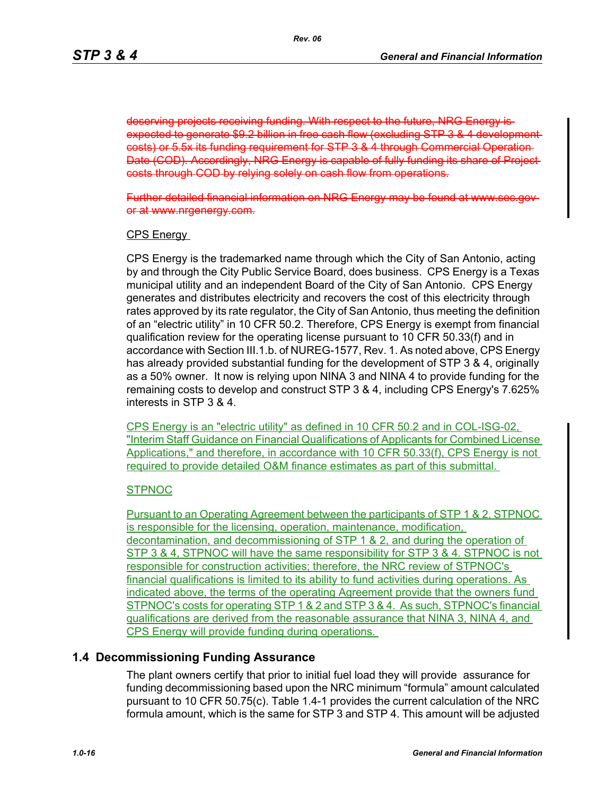deserving projects receiving funding. With respect to the future, NRG expected to generate \$9.2 billion in free cash flow (excluding STP 3 & 4 development costs) or 5.5x its funding requirement for STP 3 & 4 through Commercial Operation Date (COD). Accordingly, NRG Energy is capable of fully funding its share of Project costs through COD by relying solely on cash flow from operations.

Further detailed financial information on NRG Energy may be or at www.nrgenergy.com.

#### CPS Energy

CPS Energy is the trademarked name through which the City of San Antonio, acting by and through the City Public Service Board, does business. CPS Energy is a Texas municipal utility and an independent Board of the City of San Antonio. CPS Energy generates and distributes electricity and recovers the cost of this electricity through rates approved by its rate regulator, the City of San Antonio, thus meeting the definition of an "electric utility" in 10 CFR 50.2. Therefore, CPS Energy is exempt from financial qualification review for the operating license pursuant to 10 CFR 50.33(f) and in accordance with Section III.1.b. of NUREG-1577, Rev. 1. As noted above, CPS Energy has already provided substantial funding for the development of STP 3 & 4, originally as a 50% owner. It now is relying upon NINA 3 and NINA 4 to provide funding for the remaining costs to develop and construct STP 3 & 4, including CPS Energy's 7.625% interests in STP 3 & 4.

CPS Energy is an "electric utility" as defined in 10 CFR 50.2 and in COL-ISG-02, "Interim Staff Guidance on Financial Qualifications of Applicants for Combined License Applications," and therefore, in accordance with 10 CFR 50.33(f), CPS Energy is not required to provide detailed O&M finance estimates as part of this submittal.

#### **STPNOC**

Pursuant to an Operating Agreement between the participants of STP 1 & 2, STPNOC is responsible for the licensing, operation, maintenance, modification, decontamination, and decommissioning of STP 1 & 2, and during the operation of STP 3 & 4, STPNOC will have the same responsibility for STP 3 & 4. STPNOC is not responsible for construction activities; therefore, the NRC review of STPNOC's financial qualifications is limited to its ability to fund activities during operations. As indicated above, the terms of the operating Agreement provide that the owners fund STPNOC's costs for operating STP 1 & 2 and STP 3 & 4. As such, STPNOC's financial qualifications are derived from the reasonable assurance that NINA 3, NINA 4, and CPS Energy will provide funding during operations.

#### **1.4 Decommissioning Funding Assurance**

The plant owners certify that prior to initial fuel load they will provide assurance for funding decommissioning based upon the NRC minimum "formula" amount calculated pursuant to 10 CFR 50.75(c). Table 1.4-1 provides the current calculation of the NRC formula amount, which is the same for STP 3 and STP 4. This amount will be adjusted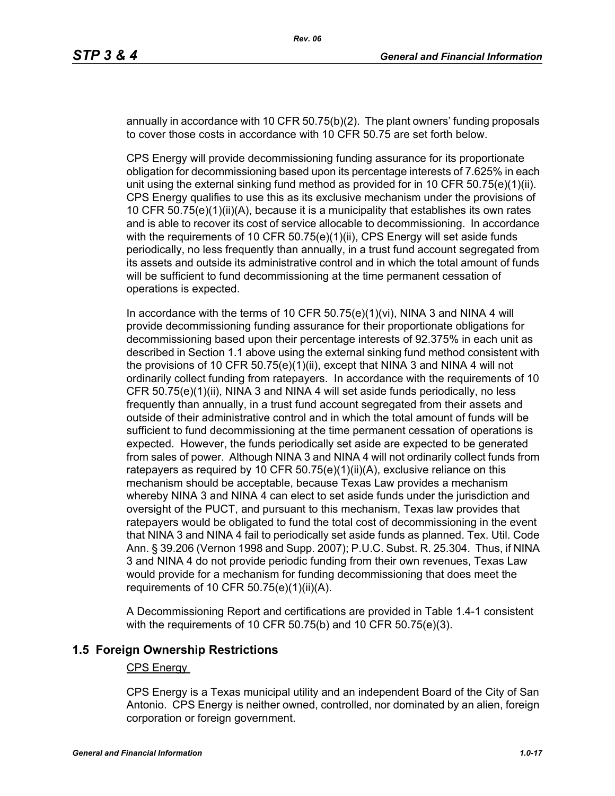annually in accordance with 10 CFR 50.75(b)(2). The plant owners' funding proposals to cover those costs in accordance with 10 CFR 50.75 are set forth below.

CPS Energy will provide decommissioning funding assurance for its proportionate obligation for decommissioning based upon its percentage interests of 7.625% in each unit using the external sinking fund method as provided for in 10 CFR  $50.75(e)(1)(ii)$ . CPS Energy qualifies to use this as its exclusive mechanism under the provisions of 10 CFR 50.75(e)(1)(ii)(A), because it is a municipality that establishes its own rates and is able to recover its cost of service allocable to decommissioning. In accordance with the requirements of 10 CFR 50.75(e)(1)(ii), CPS Energy will set aside funds periodically, no less frequently than annually, in a trust fund account segregated from its assets and outside its administrative control and in which the total amount of funds will be sufficient to fund decommissioning at the time permanent cessation of operations is expected.

In accordance with the terms of 10 CFR 50.75(e)(1)(vi), NINA 3 and NINA 4 will provide decommissioning funding assurance for their proportionate obligations for decommissioning based upon their percentage interests of 92.375% in each unit as described in Section 1.1 above using the external sinking fund method consistent with the provisions of 10 CFR 50.75(e)(1)(ii), except that NINA 3 and NINA 4 will not ordinarily collect funding from ratepayers. In accordance with the requirements of 10 CFR 50.75(e)(1)(ii), NINA 3 and NINA 4 will set aside funds periodically, no less frequently than annually, in a trust fund account segregated from their assets and outside of their administrative control and in which the total amount of funds will be sufficient to fund decommissioning at the time permanent cessation of operations is expected. However, the funds periodically set aside are expected to be generated from sales of power. Although NINA 3 and NINA 4 will not ordinarily collect funds from ratepayers as required by 10 CFR 50.75(e)(1)(ii)(A), exclusive reliance on this mechanism should be acceptable, because Texas Law provides a mechanism whereby NINA 3 and NINA 4 can elect to set aside funds under the jurisdiction and oversight of the PUCT, and pursuant to this mechanism, Texas law provides that ratepayers would be obligated to fund the total cost of decommissioning in the event that NINA 3 and NINA 4 fail to periodically set aside funds as planned. Tex. Util. Code Ann. § 39.206 (Vernon 1998 and Supp. 2007); P.U.C. Subst. R. 25.304. Thus, if NINA 3 and NINA 4 do not provide periodic funding from their own revenues, Texas Law would provide for a mechanism for funding decommissioning that does meet the requirements of 10 CFR  $50.75(e)(1)(ii)(A)$ .

A Decommissioning Report and certifications are provided in Table 1.4-1 consistent with the requirements of 10 CFR 50.75(b) and 10 CFR 50.75(e)(3).

#### **1.5 Foreign Ownership Restrictions**

#### CPS Energy

CPS Energy is a Texas municipal utility and an independent Board of the City of San Antonio. CPS Energy is neither owned, controlled, nor dominated by an alien, foreign corporation or foreign government.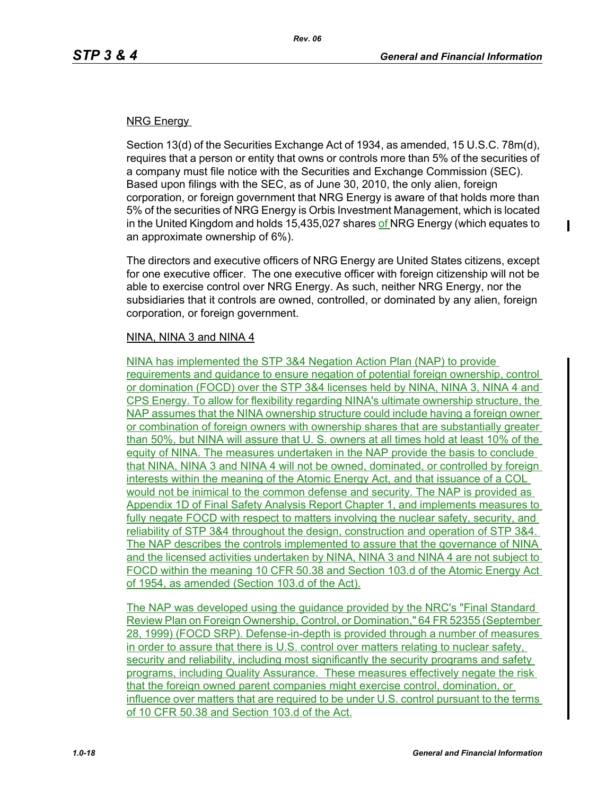I

#### NRG Energy

Section 13(d) of the Securities Exchange Act of 1934, as amended, 15 U.S.C. 78m(d), requires that a person or entity that owns or controls more than 5% of the securities of a company must file notice with the Securities and Exchange Commission (SEC). Based upon filings with the SEC, as of June 30, 2010, the only alien, foreign corporation, or foreign government that NRG Energy is aware of that holds more than 5% of the securities of NRG Energy is Orbis Investment Management, which is located in the United Kingdom and holds 15,435,027 shares of NRG Energy (which equates to an approximate ownership of 6%).

The directors and executive officers of NRG Energy are United States citizens, except for one executive officer. The one executive officer with foreign citizenship will not be able to exercise control over NRG Energy. As such, neither NRG Energy, nor the subsidiaries that it controls are owned, controlled, or dominated by any alien, foreign corporation, or foreign government.

#### NINA, NINA 3 and NINA 4

NINA has implemented the STP 3&4 Negation Action Plan (NAP) to provide requirements and guidance to ensure negation of potential foreign ownership, control or domination (FOCD) over the STP 3&4 licenses held by NINA, NINA 3, NINA 4 and CPS Energy. To allow for flexibility regarding NINA's ultimate ownership structure, the NAP assumes that the NINA ownership structure could include having a foreign owner or combination of foreign owners with ownership shares that are substantially greater than 50%, but NINA will assure that U. S. owners at all times hold at least 10% of the equity of NINA. The measures undertaken in the NAP provide the basis to conclude that NINA, NINA 3 and NINA 4 will not be owned, dominated, or controlled by foreign interests within the meaning of the Atomic Energy Act, and that issuance of a COL would not be inimical to the common defense and security. The NAP is provided as Appendix 1D of Final Safety Analysis Report Chapter 1, and implements measures to fully negate FOCD with respect to matters involving the nuclear safety, security, and reliability of STP 3&4 throughout the design, construction and operation of STP 3&4. The NAP describes the controls implemented to assure that the governance of NINA and the licensed activities undertaken by NINA, NINA 3 and NINA 4 are not subject to FOCD within the meaning 10 CFR 50.38 and Section 103.d of the Atomic Energy Act of 1954, as amended (Section 103.d of the Act).

The NAP was developed using the guidance provided by the NRC's "Final Standard Review Plan on Foreign Ownership, Control, or Domination," 64 FR 52355 (September 28, 1999) (FOCD SRP). Defense-in-depth is provided through a number of measures in order to assure that there is U.S. control over matters relating to nuclear safety, security and reliability, including most significantly the security programs and safety programs, including Quality Assurance. These measures effectively negate the risk that the foreign owned parent companies might exercise control, domination, or influence over matters that are required to be under U.S. control pursuant to the terms of 10 CFR 50.38 and Section 103.d of the Act.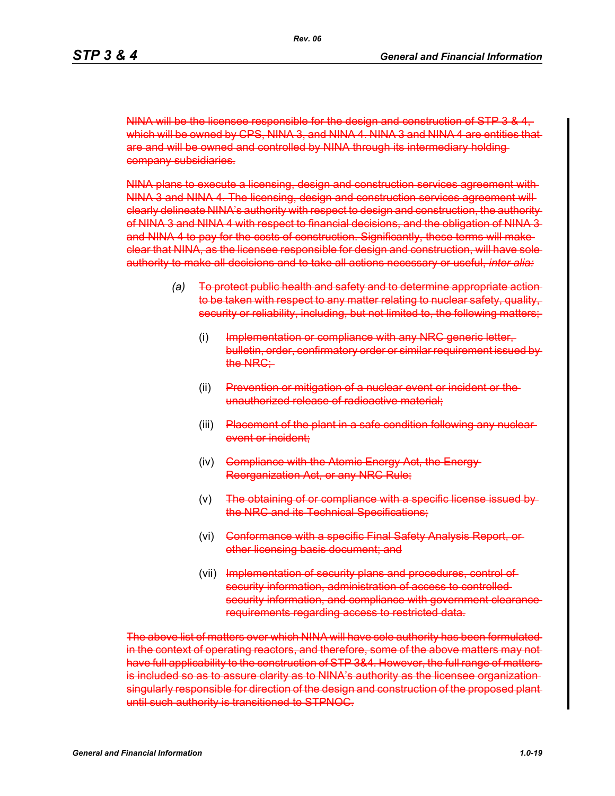NINA will be the licensee responsible for the design and construction of STP 3 & 4, which will be owned by CPS, NINA 3, and NINA 4. NINA 3 and NINA 4 are entities that are and will be owned and controlled by NINA through its intermediary holding company subsidiaries.

NINA plans to execute a licensing, design and construction services agreement with NINA 3 and NINA 4. The licensing, design and construction services agreement will clearly delineate NINA's authority with respect to design and construction, the authority of NINA 3 and NINA 4 with respect to financial decisions, and the obligation of NINA 3 and NINA 4 to pay for the costs of construction. Significantly, these terms will make clear that NINA, as the licensee responsible for design and construction, will have sole authority to make all decisions and to take all actions necessary or useful, *inter alia:*

- *(a)* To protect public health and safety and to determine appropriate action to be taken with respect to any matter relating to nuclear safety, quality, security or reliability, including, but not limited to, the following matters;
	- (i) Implementation or compliance with any NRC generic letter, bulletin, order, confirmatory order or similar requirement issued by the NRC:
	- (ii) Prevention or mitigation of a nuclear event or incident or the unauthorized release of radioactive material;
	- (iii) Placement of the plant in a safe condition following any nuclear event or incident:
	- (iv) <del>Compliance with the Atomic Energy Act, the Energy</del> Reorganization Act, or any NRC Rule;
	- (v) The obtaining of or compliance with a specific license issued by the NRC and its Technical Specifications:
	- (vi) <del>Conformance with a specific Final Safety Analysis Report, or</del> other licensing basis document; and
	- (vii) Implementation of security plans and procedures, control of security information, administration of access to controlled security information, and compliance with government clearance requirements regarding access to restricted data.

The above list of matters over which NINA will have sole authority has been formulated in the context of operating reactors, and therefore, some of the above matters may not have full applicability to the construction of STP 3&4. However, the full range of matters is included so as to assure clarity as to NINA's authority as the licensee organization singularly responsible for direction of the design and construction of the proposed plant until such authority is transitioned to STPNOC.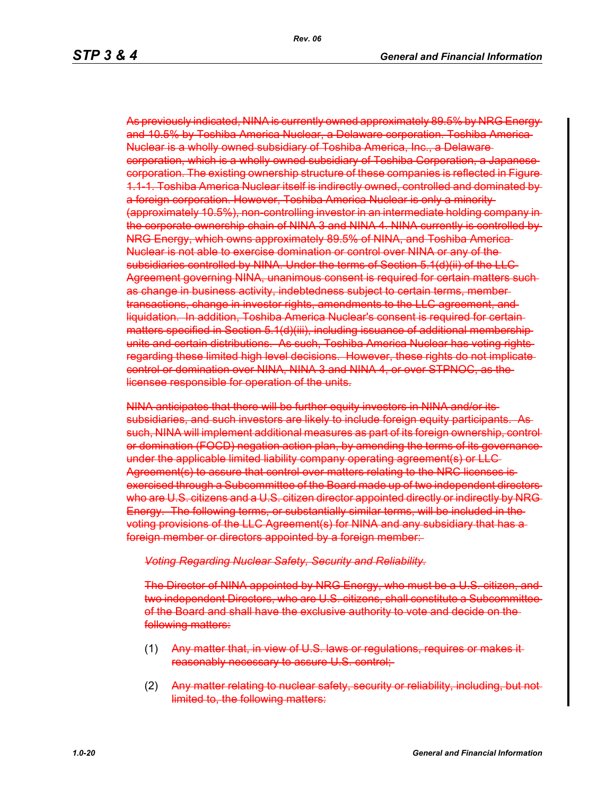As previously indicated, NINA is currently owned approximately 89.5% by NRG Energy and 10.5% by Toshiba America Nuclear, a Delaware corporation. Toshiba America Nuclear is a wholly owned subsidiary of Toshiba America, Inc., a Delaware corporation, which is a wholly owned subsidiary of Toshiba Corporation, a Japanese corporation. The existing ownership structure of these companies is reflected in Figure 1.1-1. Toshiba America Nuclear itself is indirectly owned, controlled and dominated by a foreign corporation. However, Toshiba America Nuclear is only a minority (approximately 10.5%), non-controlling investor in an intermediate holding company in the corporate ownership chain of NINA 3 and NINA 4. NINA currently is controlled by NRG Energy, which owns approximately 89.5% of NINA, and Toshiba America Nuclear is not able to exercise domination or control over NINA or any of the subsidiaries controlled by NINA. Under the terms of Section 5.1(d)(ii) of the LLC Agreement governing NINA, unanimous consent is required for certain matters such as change in business activity, indebtedness subject to certain terms, member transactions, change in investor rights, amendments to the LLC agreement, and liquidation. In addition, Toshiba America Nuclear's consent is required for certain matters specified in Section 5.1(d)(iii), including issuance of additional membership units and certain distributions. As such, Toshiba America Nuclear has voting rights regarding these limited high level decisions. However, these rights do not implicate control or domination over NINA, NINA 3 and NINA 4, or over STPNOC, as the licensee responsible for operation of the units.

NINA anticipates that there will be further equity investors in NINA and/or its subsidiaries, and such investors are likely to include foreign equity participants. As such, NINA will implement additional measures as part of its foreign ownership, control or domination (FOCD) negation action plan, by amending the terms of its governance under the applicable limited liability company operating agreement(s) or LLC Agreement(s) to assure that control over matters relating to the NRC licenses isexercised through a Subcommittee of the Board made up of two independent directors who are U.S. citizens and a U.S. citizen director appointed directly or indirectly by NRG Energy. The following terms, or substantially similar terms, will be included in the voting provisions of the LLC Agreement(s) for NINA and any subsidiary that has a foreign member or directors appointed by a foreign member:

#### *Voting Regarding Nuclear Safety, Security and Reliability.*

The Director of NINA appointed by NRG Energy, who must be a U.S. citizen, and two independent Directors, who are U.S. citizens, shall constitute a Subcommittee of the Board and shall have the exclusive authority to vote and decide on the following matters:

- (1) Any matter that, in view of U.S. laws or regulations, requires or makes it reasonably necessary to assure U.S. control;
- (2) Any matter relating to nuclear safety, security or reliability, including, but not limited to, the following matters: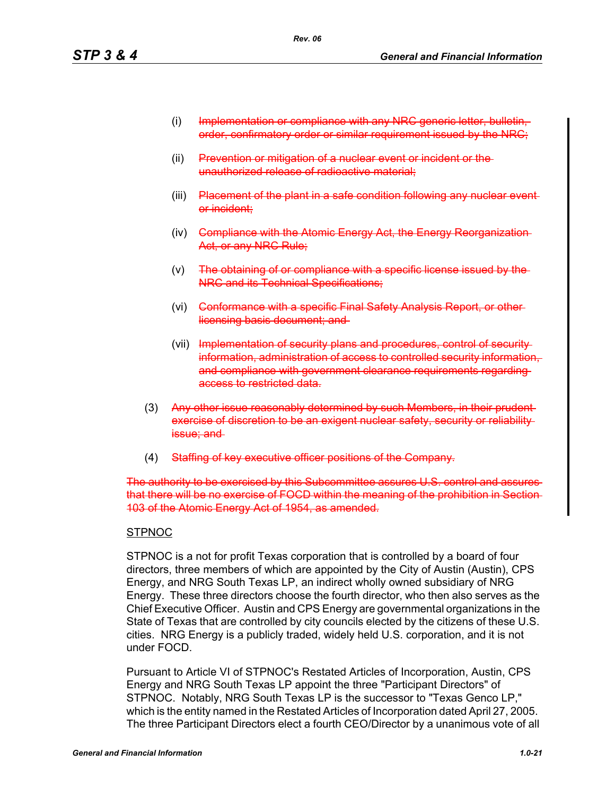- (i) Implementation or compliance with any NRC generic letter, order, confirmatory order or similar requirement issued by the NRC;
- (ii) Prevention or mitigation of a nuclear event or incident or the unauthorized release of radioactive material;
- (iii) Placement of the plant in a safe condition following any nuclear event or incident;
- (iv) Compliance with the Atomic Energy Act, the Energy Reorganization Act, or any NRC Rule;
- $(v)$  The obtaining of or compliance with a specific license issued by the NRC and its Technical Specifications;
- (vi) Conformance with a specific Final Safety Analysis Report, or otherlicensing basis document; and
- (vii) Implementation of security plans and procedures, control of security information, administration of access to controlled security information, and compliance with government clearance requirements regarding access to restricted data.
- (3) Any other issue reasonably determined by such Members, in their prudentexercise of discretion to be an exigent nuclear safety, security or reliability issue; and
- (4) Staffing of key executive officer positions of the Company.

The authority to be exercised by this Subcommittee assures U.S. control and assures that there will be no exercise of FOCD within the meaning of the prohibition in Section 103 of the Atomic Energy Act of 1954, as amended.

#### **STPNOC**

STPNOC is a not for profit Texas corporation that is controlled by a board of four directors, three members of which are appointed by the City of Austin (Austin), CPS Energy, and NRG South Texas LP, an indirect wholly owned subsidiary of NRG Energy. These three directors choose the fourth director, who then also serves as the Chief Executive Officer. Austin and CPS Energy are governmental organizations in the State of Texas that are controlled by city councils elected by the citizens of these U.S. cities. NRG Energy is a publicly traded, widely held U.S. corporation, and it is not under FOCD.

Pursuant to Article VI of STPNOC's Restated Articles of Incorporation, Austin, CPS Energy and NRG South Texas LP appoint the three "Participant Directors" of STPNOC. Notably, NRG South Texas LP is the successor to "Texas Genco LP," which is the entity named in the Restated Articles of Incorporation dated April 27, 2005. The three Participant Directors elect a fourth CEO/Director by a unanimous vote of all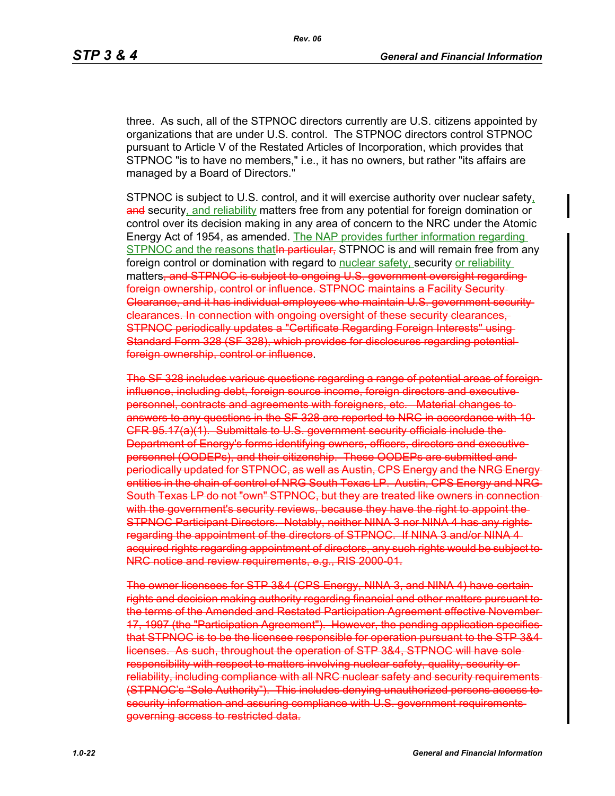three. As such, all of the STPNOC directors currently are U.S. citizens appointed by organizations that are under U.S. control. The STPNOC directors control STPNOC pursuant to Article V of the Restated Articles of Incorporation, which provides that STPNOC "is to have no members," i.e., it has no owners, but rather "its affairs are managed by a Board of Directors."

STPNOC is subject to U.S. control, and it will exercise authority over nuclear safety, and security, and reliability matters free from any potential for foreign domination or control over its decision making in any area of concern to the NRC under the Atomic Energy Act of 1954, as amended. The NAP provides further information regarding STPNOC and the reasons that In particular, STPNOC is and will remain free from any foreign control or domination with regard to nuclear safety, security or reliability matters, and STPNOC is subject to ongoing U.S. government oversight regarding foreign ownership, control or influence. STPNOC maintains a Facility Security Clearance, and it has individual employees who maintain U.S. government security clearances. In connection with ongoing oversight of these security clearances, STPNOC periodically updates a "Certificate Regarding Foreign Interests" using Standard Form 328 (SF 328), which provides for disclosures regarding potential foreign ownership, control or influence.

The SF 328 includes various questions regarding a range of potential areas of foreign influence, including debt, foreign source income, foreign directors and executive personnel, contracts and agreements with foreigners, etc. Material changes to answers to any questions in the SF 328 are reported to NRC in accordance with 10 CFR 95.17(a)(1). Submittals to U.S. government security officials include the Department of Energy's forms identifying owners, officers, directors and executive personnel (OODEPs), and their citizenship. These OODEPs are submitted and periodically updated for STPNOC, as well as Austin, CPS Energy and the NRG Energy entities in the chain of control of NRG South Texas LP. Austin, CPS Energy and NRG South Texas LP do not "own" STPNOC, but they are treated like owners in connection with the government's security reviews, because they have the right to appoint the STPNOC Participant Directors. Notably, neither NINA 3 nor NINA 4 has any rights regarding the appointment of the directors of STPNOC. If NINA 3 and/or NINA 4 acquired rights regarding appointment of directors, any such rights would be subject to NRC notice and review requirements, e.g., RIS 2000-01.

The owner licensees for STP 3&4 (CPS Energy, NINA 3, and NINA 4) have certain rights and decision making authority regarding financial and other matters pursuant to the terms of the Amended and Restated Participation Agreement effective November 17, 1997 (the "Participation Agreement"). However, the pending application specifies that STPNOC is to be the licensee responsible for operation pursuant to the STP 3&4 licenses. As such, throughout the operation of STP 3&4, STPNOC will have sole responsibility with respect to matters involving nuclear safety, quality, security or reliability, including compliance with all NRC nuclear safety and security requirements (STPNOC's "Sole Authority"). This includes denying unauthorized persons access to security information and assuring compliance with U.S. government requirements governing access to restricted data.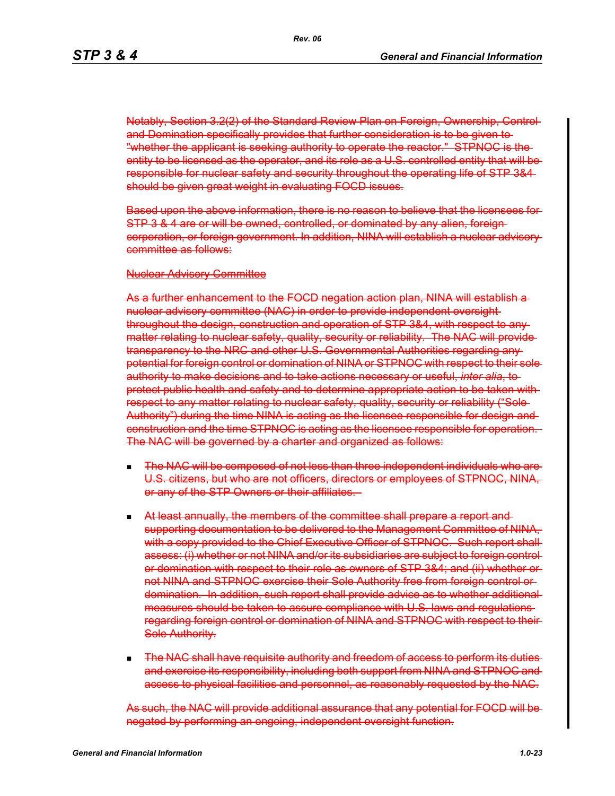Notably, Section 3.2(2) of the Standard Review Plan on Foreign, Ownership, Control and Domination specifically provides that further consideration is to be given to "whether the applicant is seeking authority to operate the reactor." STPNOC is the entity to be licensed as the operator, and its role as a U.S. controlled entity that will beresponsible for nuclear safety and security throughout the operating life of STP 3&4 should be given great weight in evaluating FOCD issues.

Based upon the above information, there is no reason to believe that the licensees for STP 3 & 4 are or will be owned, controlled, or dominated by any alien, foreign corporation, or foreign government. In addition, NINA will establish a nuclear advisory committee as follows:

#### Nuclear Advisory Committee

As a further enhancement to the FOCD negation action plan, NINA will establish a nuclear advisory committee (NAC) in order to provide independent oversight throughout the design, construction and operation of STP 3&4, with respect to any matter relating to nuclear safety, quality, security or reliability. The NAC will providetransparency to the NRC and other U.S. Governmental Authorities regarding any potential for foreign control or domination of NINA or STPNOC with respect to their sole authority to make decisions and to take actions necessary or useful, *inter alia*, to protect public health and safety and to determine appropriate action to be taken with respect to any matter relating to nuclear safety, quality, security or reliability ("Sole-Authority") during the time NINA is acting as the licensee responsible for design and construction and the time STPNOC is acting as the licensee responsible for operation. The NAC will be governed by a charter and organized as follows:

- The NAC will be composed of not less than three independent individuals who are U.S. citizens, but who are not officers, directors or employees of STPNOC, NINA, or any of the STP Owners or their affiliates.
- At least annually, the members of the committee shall prepare a report and supporting documentation to be delivered to the Management Committee of NINA, with a copy provided to the Chief Executive Officer of STPNOC. Such report shall assess: (i) whether or not NINA and/or its subsidiaries are subject to foreign control or domination with respect to their role as owners of STP 3&4; and (ii) whether or not NINA and STPNOC exercise their Sole Authority free from foreign control or domination. In addition, such report shall provide advice as to whether additional measures should be taken to assure compliance with U.S. laws and regulations regarding foreign control or domination of NINA and STPNOC with respect to their Sole Authority.
- The NAC shall have requisite authority and freedom of access to perform its duties and exercise its responsibility, including both support from NINA and STPNOC and access to physical facilities and personnel, as reasonably requested by the NAC.

As such, the NAC will provide additional assurance that any potential for FOCD will be negated by performing an ongoing, independent oversight function.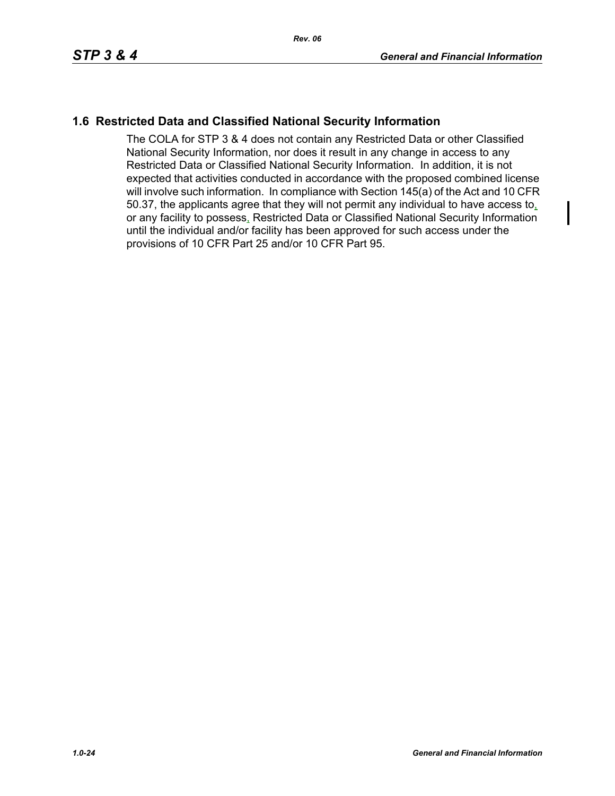# **1.6 Restricted Data and Classified National Security Information**

The COLA for STP 3 & 4 does not contain any Restricted Data or other Classified National Security Information, nor does it result in any change in access to any Restricted Data or Classified National Security Information. In addition, it is not expected that activities conducted in accordance with the proposed combined license will involve such information. In compliance with Section 145(a) of the Act and 10 CFR 50.37, the applicants agree that they will not permit any individual to have access to, or any facility to possess, Restricted Data or Classified National Security Information until the individual and/or facility has been approved for such access under the provisions of 10 CFR Part 25 and/or 10 CFR Part 95.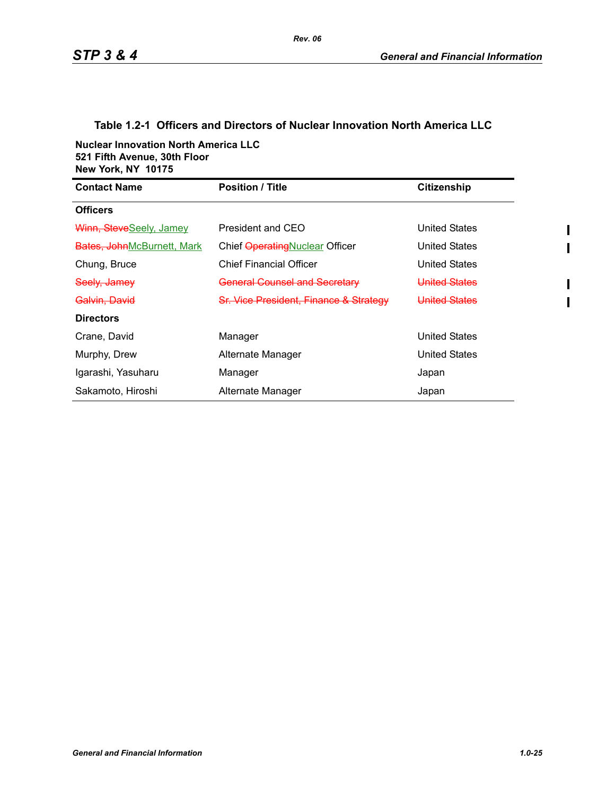### **Table 1.2-1 Officers and Directors of Nuclear Innovation North America LLC**

**Nuclear Innovation North America LLC 521 Fifth Avenue, 30th Floor New York, NY 10175**

| <b>Contact Name</b>        | <b>Position / Title</b>                | Citizenship   |
|----------------------------|----------------------------------------|---------------|
| <b>Officers</b>            |                                        |               |
| Winn, SteveSeely, Jamey    | President and CEO                      | United States |
| Bates, JohnMcBurnett, Mark | Chief Operating Nuclear Officer        | United States |
| Chung, Bruce               | <b>Chief Financial Officer</b>         | United States |
| Seely, Jamey               | <b>General Counsel and Secretary</b>   | United States |
| <del>Galvin, David</del>   | Sr. Vice President, Finance & Strategy | United States |
| <b>Directors</b>           |                                        |               |
| Crane, David               | Manager                                | United States |
| Murphy, Drew               | Alternate Manager                      | United States |
| Igarashi, Yasuharu         | Manager                                | Japan         |
| Sakamoto, Hiroshi          | Alternate Manager                      | Japan         |

I  $\mathbf I$ 

ı  $\mathbf I$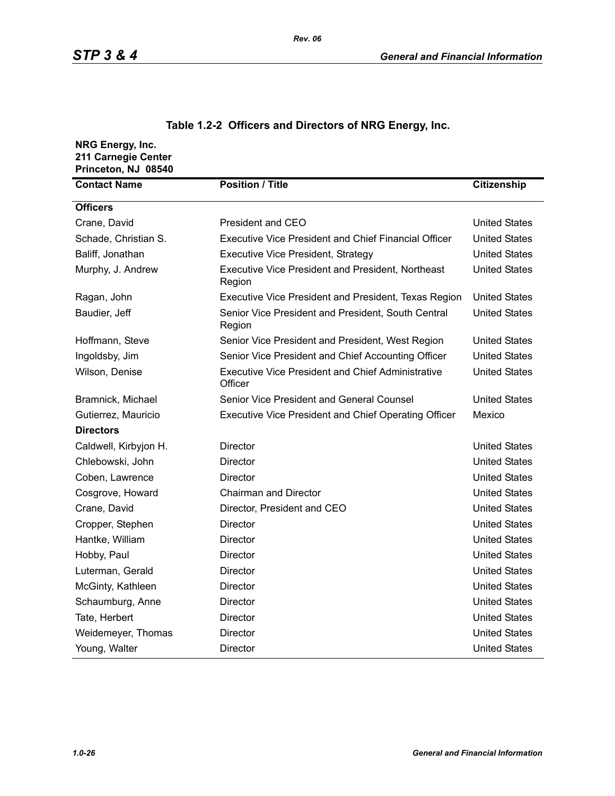| NRG Energy, Inc.<br>211 Carnegie Center<br>Princeton, NJ 08540 |                                                                     |                      |
|----------------------------------------------------------------|---------------------------------------------------------------------|----------------------|
| <b>Contact Name</b>                                            | <b>Position / Title</b>                                             | <b>Citizenship</b>   |
| <b>Officers</b>                                                |                                                                     |                      |
| Crane, David                                                   | <b>President and CEO</b>                                            | <b>United States</b> |
| Schade, Christian S.                                           | <b>Executive Vice President and Chief Financial Officer</b>         | <b>United States</b> |
| Baliff, Jonathan                                               | <b>Executive Vice President, Strategy</b>                           | <b>United States</b> |
| Murphy, J. Andrew                                              | <b>Executive Vice President and President, Northeast</b><br>Region  | <b>United States</b> |
| Ragan, John                                                    | Executive Vice President and President, Texas Region                | <b>United States</b> |
| Baudier, Jeff                                                  | Senior Vice President and President, South Central<br>Region        | <b>United States</b> |
| Hoffmann, Steve                                                | Senior Vice President and President, West Region                    | <b>United States</b> |
| Ingoldsby, Jim                                                 | Senior Vice President and Chief Accounting Officer                  | <b>United States</b> |
| Wilson, Denise                                                 | <b>Executive Vice President and Chief Administrative</b><br>Officer | <b>United States</b> |
| Bramnick, Michael                                              | Senior Vice President and General Counsel                           | <b>United States</b> |
| Gutierrez, Mauricio                                            | <b>Executive Vice President and Chief Operating Officer</b>         | Mexico               |
| <b>Directors</b>                                               |                                                                     |                      |
| Caldwell, Kirbyjon H.                                          | Director                                                            | <b>United States</b> |
| Chlebowski, John                                               | Director                                                            | <b>United States</b> |
| Coben, Lawrence                                                | <b>Director</b>                                                     | <b>United States</b> |
| Cosgrove, Howard                                               | <b>Chairman and Director</b>                                        | <b>United States</b> |
| Crane, David                                                   | Director, President and CEO                                         | <b>United States</b> |
| Cropper, Stephen                                               | <b>Director</b>                                                     | <b>United States</b> |
| Hantke, William                                                | <b>Director</b>                                                     | <b>United States</b> |
| Hobby, Paul                                                    | Director                                                            | <b>United States</b> |
| Luterman, Gerald                                               | <b>Director</b>                                                     | <b>United States</b> |
| McGinty, Kathleen                                              | <b>Director</b>                                                     | <b>United States</b> |
| Schaumburg, Anne                                               | Director                                                            | <b>United States</b> |
| Tate, Herbert                                                  | <b>Director</b>                                                     | <b>United States</b> |
| Weidemeyer, Thomas                                             | <b>Director</b>                                                     | <b>United States</b> |
| Young, Walter                                                  | Director                                                            | <b>United States</b> |

# **Table 1.2-2 Officers and Directors of NRG Energy, Inc.**

*Rev. 06*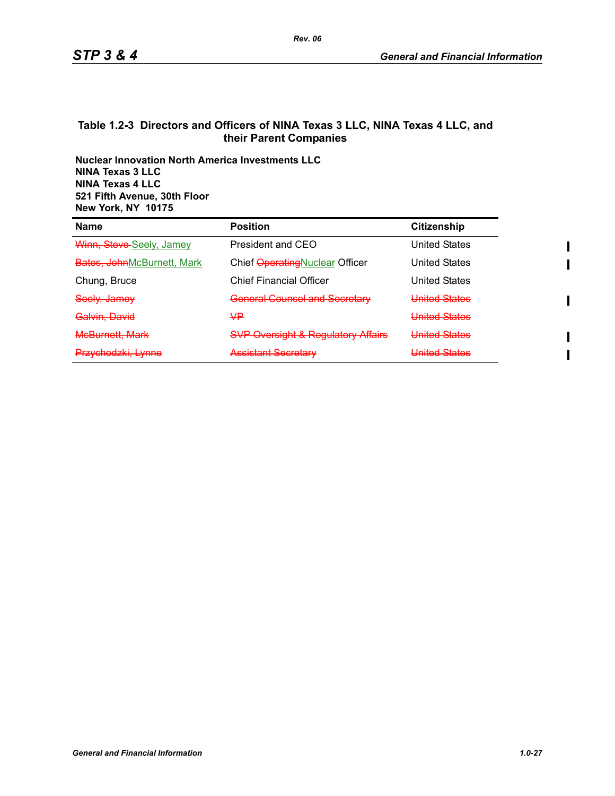#### **Table 1.2-3 Directors and Officers of NINA Texas 3 LLC, NINA Texas 4 LLC, and their Parent Companies**

**Nuclear Innovation North America Investments LLC NINA Texas 3 LLC NINA Texas 4 LLC 521 Fifth Avenue, 30th Floor New York, NY 10175**

| Name                               | <b>Position</b>                               | <b>Citizenship</b>    |
|------------------------------------|-----------------------------------------------|-----------------------|
| Winn, Steve-Seely, Jamey           | President and CEO                             | <b>United States</b>  |
| <b>Bates, John</b> McBurnett, Mark | Chief Operating Nuclear Officer               | <b>United States</b>  |
| Chung, Bruce                       | <b>Chief Financial Officer</b>                | <b>United States</b>  |
| Seely, Jamey                       | <b>General Counsel and Secretary</b>          | <b>United States</b>  |
| Galvin. David                      | Ψ₽                                            | United States         |
| <b>McBurnett, Mark</b>             | <b>SVP Oversight &amp; Regulatory Affairs</b> | United States         |
| Przychodzki, Lynne                 | <b>Assistant Secretary</b>                    | <u>Llnitad Statae</u> |

 $\mathbf{I}$ 

Π

ı  $\mathbf I$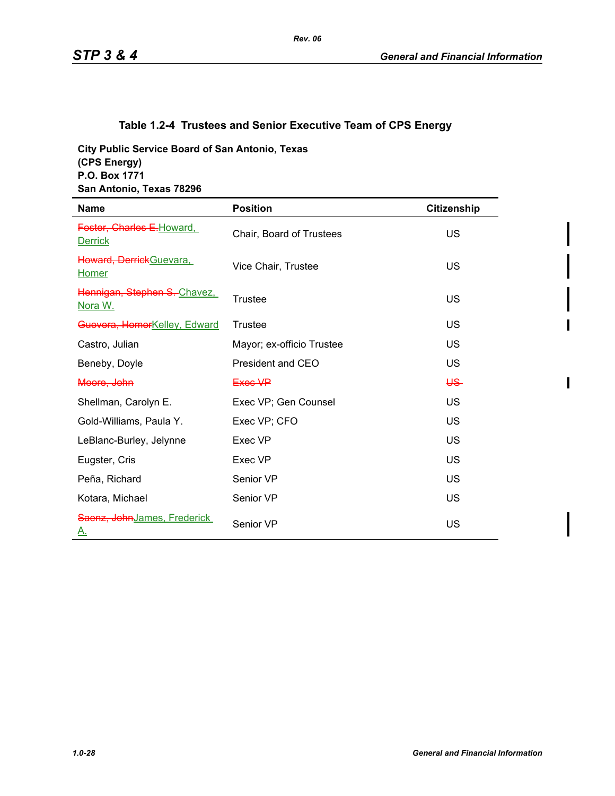# **Table 1.2-4 Trustees and Senior Executive Team of CPS Energy**

**City Public Service Board of San Antonio, Texas (CPS Energy) P.O. Box 1771 San Antonio, Texas 78296**

| <b>Name</b>                                  | <b>Position</b>           | <b>Citizenship</b> |
|----------------------------------------------|---------------------------|--------------------|
| Foster, Charles E. Howard,<br><b>Derrick</b> | Chair, Board of Trustees  | US                 |
| Howard, DerrickGuevara,<br><b>Homer</b>      | Vice Chair, Trustee       | US                 |
| Hennigan, Stephen S.-Chavez.<br>Nora W.      | Trustee                   | US                 |
| Guevera, HomerKelley, Edward                 | <b>Trustee</b>            | US                 |
| Castro, Julian                               | Mayor; ex-officio Trustee | US                 |
| Beneby, Doyle                                | President and CEO         | US                 |
| Moore, John                                  | Exec VP                   | <del>US</del>      |
| Shellman, Carolyn E.                         | Exec VP; Gen Counsel      | US                 |
| Gold-Williams, Paula Y.                      | Exec VP; CFO              | US                 |
| LeBlanc-Burley, Jelynne                      | Exec VP                   | US                 |
| Eugster, Cris                                | Exec VP                   | US                 |
| Peña, Richard                                | Senior VP                 | US                 |
| Kotara, Michael                              | Senior VP                 | US                 |
| Saenz, John James, Frederick<br><u>A.</u>    | Senior VP                 | US                 |

 $\overline{\phantom{a}}$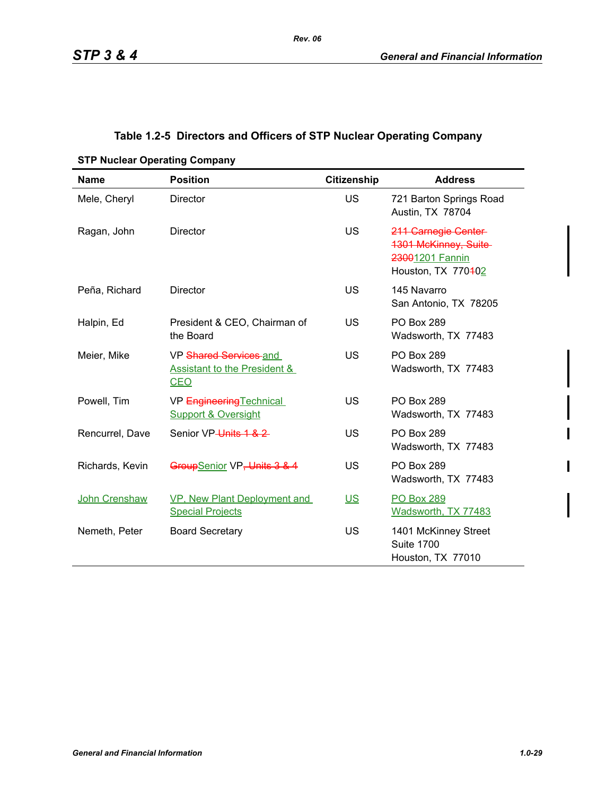# **Table 1.2-5 Directors and Officers of STP Nuclear Operating Company**

| <b>Name</b>          | <b>Position</b>                                                                 | <b>Citizenship</b> | <b>Address</b>                                                                                |
|----------------------|---------------------------------------------------------------------------------|--------------------|-----------------------------------------------------------------------------------------------|
| Mele, Cheryl         | <b>Director</b>                                                                 | <b>US</b>          | 721 Barton Springs Road<br>Austin, TX 78704                                                   |
| Ragan, John          | <b>Director</b>                                                                 | <b>US</b>          | 211 Carnegie Center-<br><b>1301 McKinney, Suite-</b><br>23001201 Fannin<br>Houston, TX 770402 |
| Peña, Richard        | Director                                                                        | US                 | 145 Navarro<br>San Antonio, TX 78205                                                          |
| Halpin, Ed           | President & CEO, Chairman of<br>the Board                                       | US                 | <b>PO Box 289</b><br>Wadsworth, TX 77483                                                      |
| Meier, Mike          | VP Shared Services and<br><b>Assistant to the President &amp;</b><br><b>CEO</b> | US                 | <b>PO Box 289</b><br>Wadsworth, TX 77483                                                      |
| Powell, Tim          | VP Engineering Technical<br><b>Support &amp; Oversight</b>                      | US                 | <b>PO Box 289</b><br>Wadsworth, TX 77483                                                      |
| Rencurrel, Dave      | Senior VP-Units 1 & 2                                                           | <b>US</b>          | <b>PO Box 289</b><br>Wadsworth, TX 77483                                                      |
| Richards, Kevin      | GroupSenior VP, Units 3 & 4                                                     | <b>US</b>          | <b>PO Box 289</b><br>Wadsworth, TX 77483                                                      |
| <b>John Crenshaw</b> | VP, New Plant Deployment and<br><b>Special Projects</b>                         | US <sub>1</sub>    | <b>PO Box 289</b><br>Wadsworth, TX 77483                                                      |
| Nemeth, Peter        | <b>Board Secretary</b>                                                          | <b>US</b>          | 1401 McKinney Street<br><b>Suite 1700</b><br>Houston, TX 77010                                |

**STP Nuclear Operating Company**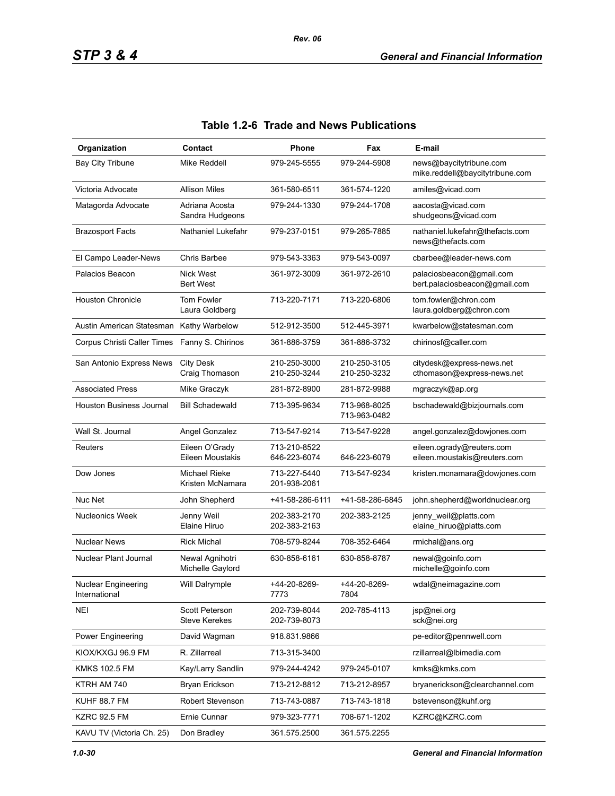| Organization                         | Contact                                       | Phone                        | Fax                          | E-mail                                                     |
|--------------------------------------|-----------------------------------------------|------------------------------|------------------------------|------------------------------------------------------------|
| Bay City Tribune                     | Mike Reddell                                  | 979-245-5555                 | 979-244-5908                 | news@baycitytribune.com<br>mike.reddell@baycitytribune.com |
| Victoria Advocate                    | <b>Allison Miles</b>                          | 361-580-6511                 | 361-574-1220                 | amiles@vicad.com                                           |
| Matagorda Advocate                   | Adriana Acosta<br>Sandra Hudgeons             | 979-244-1330                 | 979-244-1708                 | aacosta@vicad.com<br>shudgeons@vicad.com                   |
| <b>Brazosport Facts</b>              | Nathaniel Lukefahr                            | 979-237-0151                 | 979-265-7885                 | nathaniel.lukefahr@thefacts.com<br>news@thefacts.com       |
| El Campo Leader-News                 | Chris Barbee                                  | 979-543-3363                 | 979-543-0097                 | cbarbee@leader-news.com                                    |
| Palacios Beacon                      | <b>Nick West</b><br><b>Bert West</b>          | 361-972-3009                 | 361-972-2610                 | palaciosbeacon@gmail.com<br>bert.palaciosbeacon@gmail.com  |
| <b>Houston Chronicle</b>             | Tom Fowler<br>Laura Goldberg                  | 713-220-7171                 | 713-220-6806                 | tom.fowler@chron.com<br>laura.goldberg@chron.com           |
| Austin American Statesman            | Kathy Warbelow                                | 512-912-3500                 | 512-445-3971                 | kwarbelow@statesman.com                                    |
| Corpus Christi Caller Times          | Fanny S. Chirinos                             | 361-886-3759                 | 361-886-3732                 | chirinosf@caller.com                                       |
| San Antonio Express News             | <b>City Desk</b><br>Craig Thomason            | 210-250-3000<br>210-250-3244 | 210-250-3105<br>210-250-3232 | citydesk@express-news.net<br>cthomason@express-news.net    |
| <b>Associated Press</b>              | Mike Graczyk                                  | 281-872-8900                 | 281-872-9988                 | mgraczyk@ap.org                                            |
| Houston Business Journal             | <b>Bill Schadewald</b>                        | 713-395-9634                 | 713-968-8025<br>713-963-0482 | bschadewald@bizjournals.com                                |
| Wall St. Journal                     | Angel Gonzalez                                | 713-547-9214                 | 713-547-9228                 | angel.gonzalez@dowjones.com                                |
| Reuters                              | Eileen O'Grady<br>Eileen Moustakis            | 713-210-8522<br>646-223-6074 | 646-223-6079                 | eileen.ogrady@reuters.com<br>eileen.moustakis@reuters.com  |
| Dow Jones                            | Michael Rieke<br>Kristen McNamara             | 713-227-5440<br>201-938-2061 | 713-547-9234                 | kristen.mcnamara@dowjones.com                              |
| Nuc Net                              | John Shepherd                                 | +41-58-286-6111              | +41-58-286-6845              | john.shepherd@worldnuclear.org                             |
| <b>Nucleonics Week</b>               | Jenny Weil<br>Elaine Hiruo                    | 202-383-2170<br>202-383-2163 | 202-383-2125                 | jenny_weil@platts.com<br>elaine_hiruo@platts.com           |
| <b>Nuclear News</b>                  | <b>Rick Michal</b>                            | 708-579-8244                 | 708-352-6464                 | rmichal@ans.org                                            |
| Nuclear Plant Journal                | Newal Agnihotri<br>Michelle Gaylord           | 630-858-6161                 | 630-858-8787                 | newal@goinfo.com<br>michelle@goinfo.com                    |
| Nuclear Engineering<br>International | Will Dalrymple                                | +44-20-8269-<br>7773         | +44-20-8269-<br>7804         | wdal@neimagazine.com                                       |
| <b>NEI</b>                           | <b>Scott Peterson</b><br><b>Steve Kerekes</b> | 202-739-8044<br>202-739-8073 | 202-785-4113                 | jsp@nei.org<br>sck@nei.org                                 |
| Power Engineering                    | David Wagman                                  | 918.831.9866                 |                              | pe-editor@pennwell.com                                     |
| KIOX/KXGJ 96.9 FM                    | R. Zillarreal                                 | 713-315-3400                 |                              | rzillarreal@lbimedia.com                                   |
| <b>KMKS 102.5 FM</b>                 | Kay/Larry Sandlin                             | 979-244-4242                 | 979-245-0107                 | kmks@kmks.com                                              |
| KTRH AM 740                          | Bryan Erickson                                | 713-212-8812                 | 713-212-8957                 | bryanerickson@clearchannel.com                             |
| KUHF 88.7 FM                         | Robert Stevenson                              | 713-743-0887                 | 713-743-1818                 | bstevenson@kuhf.org                                        |
| <b>KZRC 92.5 FM</b>                  | Ernie Cunnar                                  | 979-323-7771                 | 708-671-1202                 | KZRC@KZRC.com                                              |
| KAVU TV (Victoria Ch. 25)            | Don Bradley                                   | 361.575.2500                 | 361.575.2255                 |                                                            |

# **Table 1.2-6 Trade and News Publications**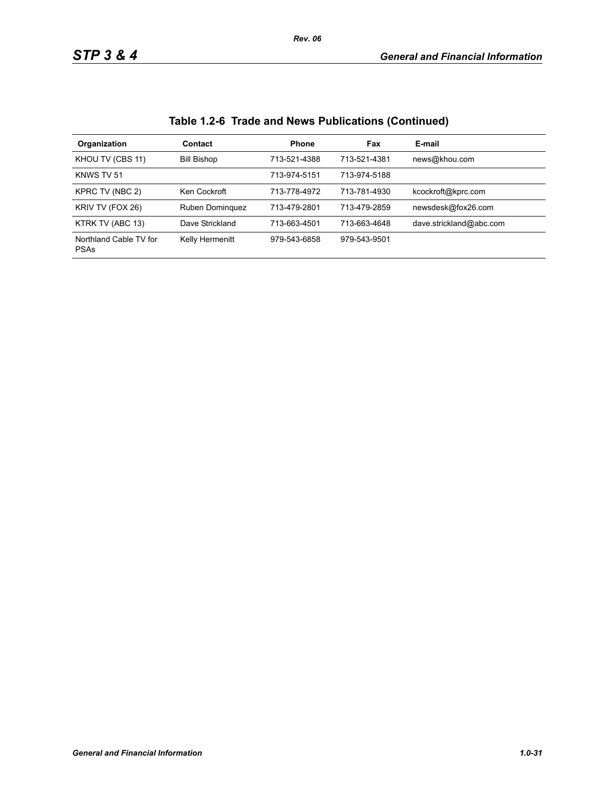| Organization                          | Contact            | <b>Phone</b> | Fax          | E-mail                  |
|---------------------------------------|--------------------|--------------|--------------|-------------------------|
| KHOU TV (CBS 11)                      | <b>Bill Bishop</b> | 713-521-4388 | 713-521-4381 | news@khou.com           |
| KNWS TV 51                            |                    | 713-974-5151 | 713-974-5188 |                         |
| KPRC TV (NBC 2)                       | Ken Cockroft       | 713-778-4972 | 713-781-4930 | kcockroft@kprc.com      |
| KRIV TV (FOX 26)                      | Ruben Dominguez    | 713-479-2801 | 713-479-2859 | newsdesk@fox26.com      |
| KTRK TV (ABC 13)                      | Dave Strickland    | 713-663-4501 | 713-663-4648 | dave.strickland@abc.com |
| Northland Cable TV for<br><b>PSAs</b> | Kelly Hermenitt    | 979-543-6858 | 979-543-9501 |                         |

# **Table 1.2-6 Trade and News Publications (Continued)**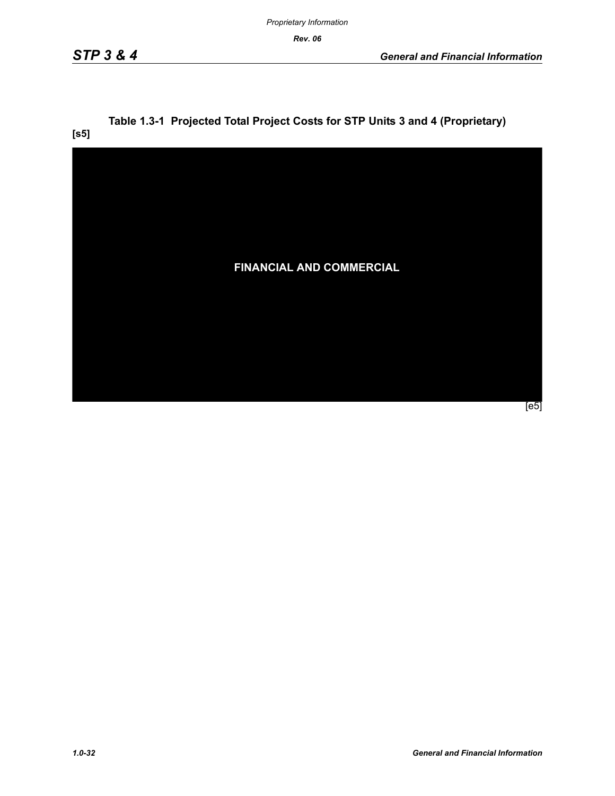*Rev. 06*

# **Table 1.3-1 Projected Total Project Costs for STP Units 3 and 4 (Proprietary)**

**[s5]**

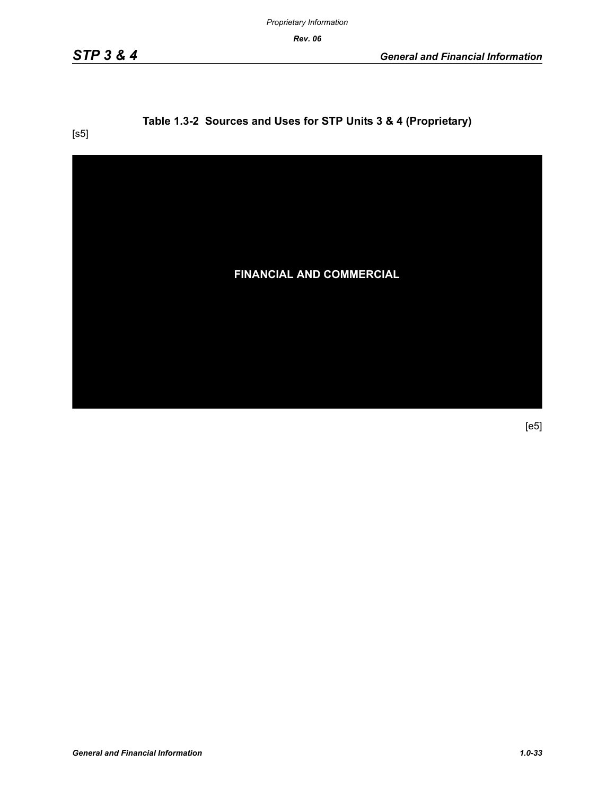*Proprietary Information*

*Rev. 06*

# **Table 1.3-2 Sources and Uses for STP Units 3 & 4 (Proprietary)**

[s5]

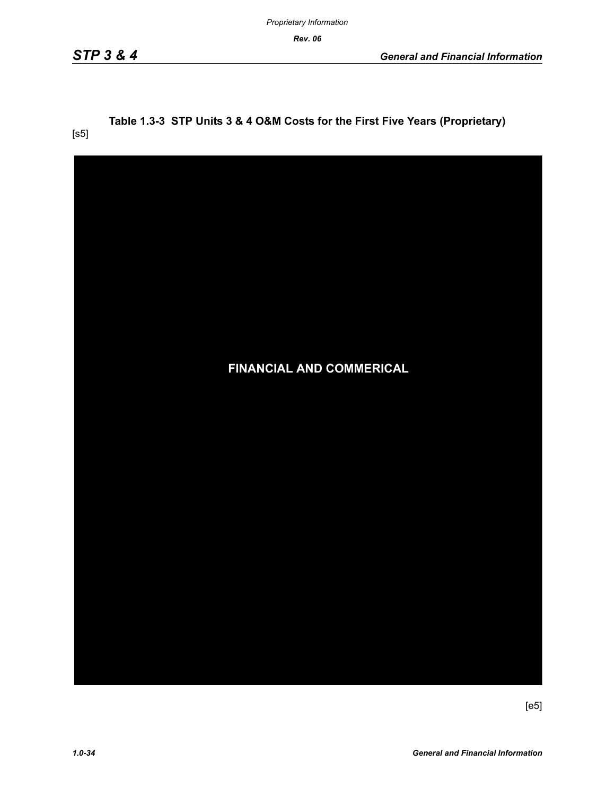*Rev. 06*

[s5]

# **Table 1.3-3 STP Units 3 & 4 O&M Costs for the First Five Years (Proprietary)**

| <b>FINANCIAL AND COMMERICAL</b> |
|---------------------------------|
|                                 |
|                                 |
|                                 |
|                                 |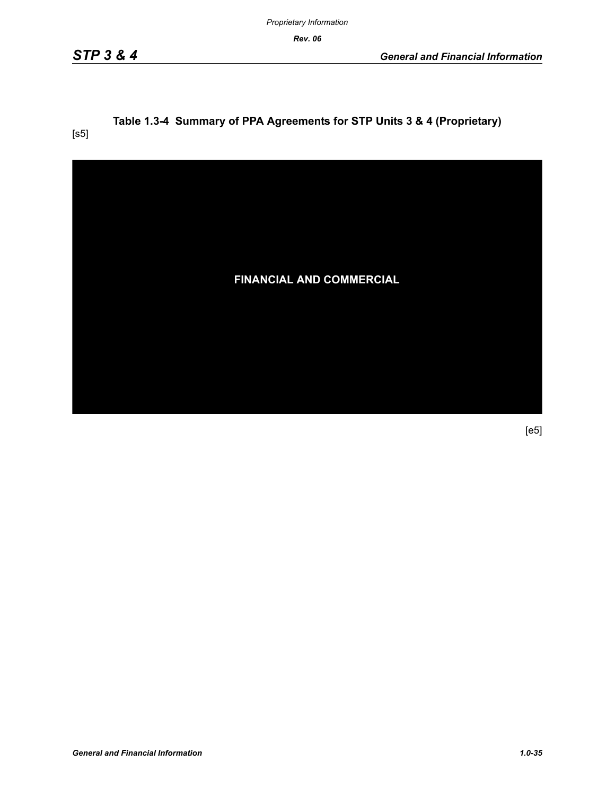*Proprietary Information*

*Rev. 06*

# **Table 1.3-4 Summary of PPA Agreements for STP Units 3 & 4 (Proprietary)**

[s5]

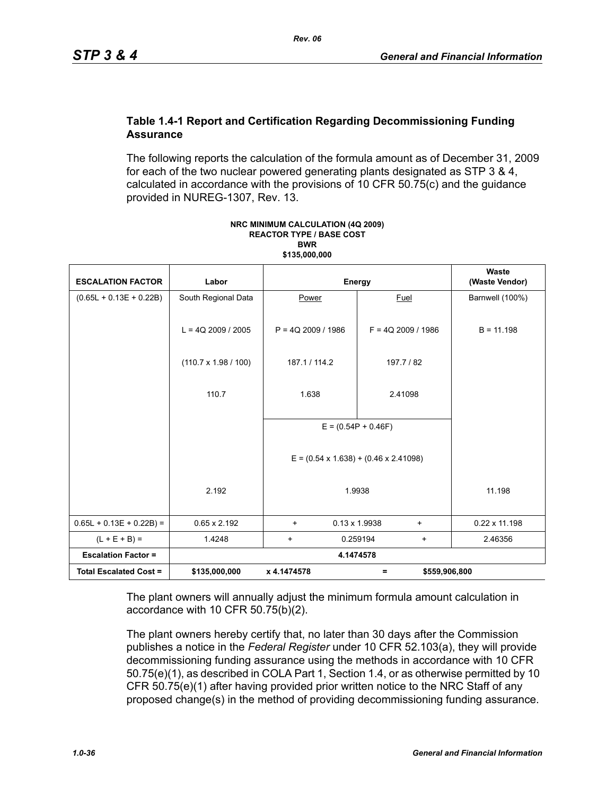#### **Table 1.4-1 Report and Certification Regarding Decommissioning Funding Assurance**

The following reports the calculation of the formula amount as of December 31, 2009 for each of the two nuclear powered generating plants designated as STP 3 & 4, calculated in accordance with the provisions of 10 CFR 50.75(c) and the guidance provided in NUREG-1307, Rev. 13.

| <b>ESCALATION FACTOR</b>      | Labor                       |                      | Energy                                            | Waste<br>(Waste Vendor) |
|-------------------------------|-----------------------------|----------------------|---------------------------------------------------|-------------------------|
| $(0.65L + 0.13E + 0.22B)$     | South Regional Data         | Power                | <b>Fuel</b>                                       | Barnwell (100%)         |
|                               | $L = 4Q$ 2009 / 2005        | $P = 4Q$ 2009 / 1986 | $F = 4Q$ 2009 / 1986                              | $B = 11.198$            |
|                               | $(110.7 \times 1.98 / 100)$ | 187.1 / 114.2        | 197.7 / 82                                        |                         |
|                               | 110.7                       | 1.638                | 2.41098                                           |                         |
|                               |                             |                      | $E = (0.54P + 0.46F)$                             |                         |
|                               |                             |                      | $E = (0.54 \times 1.638) + (0.46 \times 2.41098)$ |                         |
|                               | 2.192                       |                      | 1.9938                                            | 11.198                  |
| $0.65L + 0.13E + 0.22B$ =     | $0.65 \times 2.192$         | $\ddot{}$            | $0.13 \times 1.9938$<br>$\ddot{}$                 | $0.22 \times 11.198$    |
| $(L + E + B) =$               | 1.4248                      | $\ddot{}$            | 0.259194<br>$\ddot{}$                             | 2.46356                 |
| <b>Escalation Factor =</b>    |                             |                      | 4.1474578                                         |                         |
| <b>Total Escalated Cost =</b> | \$135,000,000               | x 4.1474578          | \$559,906,800<br>Ξ                                |                         |

#### **NRC MINIMUM CALCULATION (4Q 2009) REACTOR TYPE / BASE COST BWR \$135,000,000**

The plant owners will annually adjust the minimum formula amount calculation in accordance with 10 CFR 50.75(b)(2).

The plant owners hereby certify that, no later than 30 days after the Commission publishes a notice in the *Federal Register* under 10 CFR 52.103(a), they will provide decommissioning funding assurance using the methods in accordance with 10 CFR 50.75(e)(1), as described in COLA Part 1, Section 1.4, or as otherwise permitted by 10 CFR 50.75(e)(1) after having provided prior written notice to the NRC Staff of any proposed change(s) in the method of providing decommissioning funding assurance.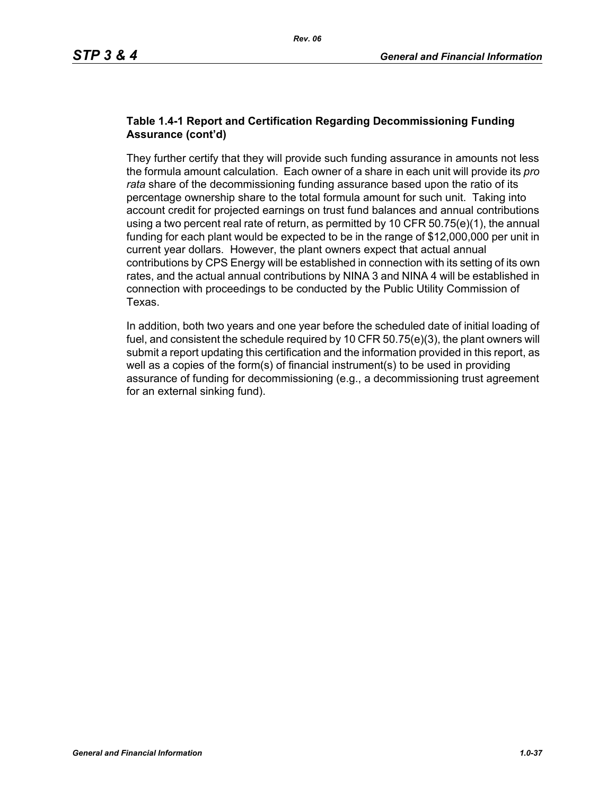#### **Table 1.4-1 Report and Certification Regarding Decommissioning Funding Assurance (cont'd)**

They further certify that they will provide such funding assurance in amounts not less the formula amount calculation. Each owner of a share in each unit will provide its *pro rata* share of the decommissioning funding assurance based upon the ratio of its percentage ownership share to the total formula amount for such unit. Taking into account credit for projected earnings on trust fund balances and annual contributions using a two percent real rate of return, as permitted by 10 CFR  $50.75(e)(1)$ , the annual funding for each plant would be expected to be in the range of \$12,000,000 per unit in current year dollars. However, the plant owners expect that actual annual contributions by CPS Energy will be established in connection with its setting of its own rates, and the actual annual contributions by NINA 3 and NINA 4 will be established in connection with proceedings to be conducted by the Public Utility Commission of Texas.

In addition, both two years and one year before the scheduled date of initial loading of fuel, and consistent the schedule required by 10 CFR 50.75(e)(3), the plant owners will submit a report updating this certification and the information provided in this report, as well as a copies of the form(s) of financial instrument(s) to be used in providing assurance of funding for decommissioning (e.g., a decommissioning trust agreement for an external sinking fund).